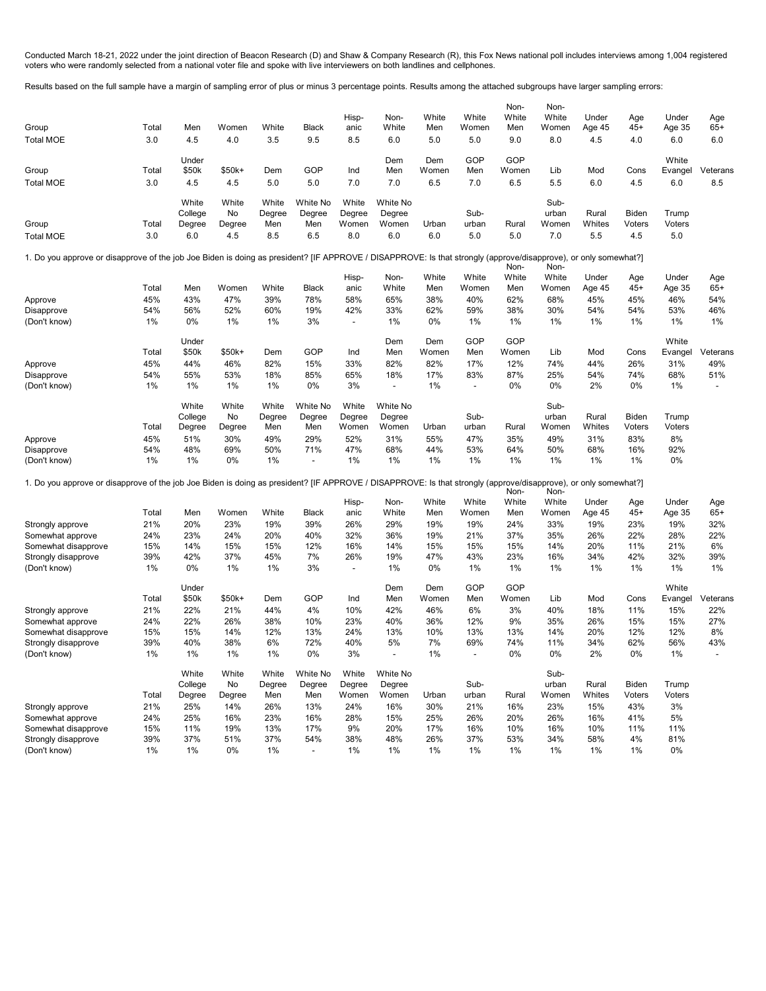Conducted March 18-21, 2022 under the joint direction of Beacon Research (D) and Shaw & Company Research (R), this Fox News national poll includes interviews among 1,004 registered voters who were randomly selected from a national voter file and spoke with live interviewers on both landlines and cellphones.

Results based on the full sample have a margin of sampling error of plus or minus 3 percentage points. Results among the attached subgroups have larger sampling errors:

| Group<br><b>Total MOE</b>                                                                                                                                       | Total<br>3.0 | Men<br>4.5       | Women<br>4.0 | White<br>3.5    | <b>Black</b><br>9.5      | Hisp-<br>anic<br>8.5     | Non-<br>White<br>6.0     | White<br>Men<br>5.0 | White<br>Women<br>5.0    | Non-<br>White<br>Men<br>9.0 | Non-<br>White<br>Women<br>8.0 | Under<br>Age 45<br>4.5 | Age<br>45+<br>4.0 | Under<br>Age 35<br>6.0 | Age<br>$65+$<br>6.0      |
|-----------------------------------------------------------------------------------------------------------------------------------------------------------------|--------------|------------------|--------------|-----------------|--------------------------|--------------------------|--------------------------|---------------------|--------------------------|-----------------------------|-------------------------------|------------------------|-------------------|------------------------|--------------------------|
|                                                                                                                                                                 |              | Under            |              |                 |                          |                          | Dem                      | Dem                 | GOP                      | GOP                         |                               |                        |                   | White                  |                          |
| Group                                                                                                                                                           | Total        | \$50k            | \$50k+       | Dem             | GOP                      | Ind                      | Men                      | Women               | Men                      | Women                       | Lib                           | Mod                    | Cons              | Evangel                | Veterans                 |
| <b>Total MOE</b>                                                                                                                                                | 3.0          | 4.5              | 4.5          | 5.0             | 5.0                      | 7.0                      | 7.0                      | 6.5                 | 7.0                      | 6.5                         | 5.5                           | 6.0                    | 4.5               | 6.0                    | 8.5                      |
|                                                                                                                                                                 |              | White            | White        | White           | White No                 | White                    | White No                 |                     |                          |                             | Sub-                          |                        |                   |                        |                          |
|                                                                                                                                                                 |              | College          | No           | Degree          | Degree                   | Degree                   | Degree                   |                     | Sub-                     |                             | urban                         | Rural                  | Biden             | Trump                  |                          |
| Group                                                                                                                                                           | Total        | Degree           | Degree       | Men             | Men                      | Women                    | Women                    | Urban               | urban                    | Rural                       | Women                         | Whites                 | Voters            | Voters                 |                          |
| <b>Total MOE</b>                                                                                                                                                | 3.0          | 6.0              | 4.5          | 8.5             | 6.5                      | 8.0                      | 6.0                      | 6.0                 | 5.0                      | 5.0                         | 7.0                           | 5.5                    | 4.5               | 5.0                    |                          |
| 1. Do you approve or disapprove of the job Joe Biden is doing as president? [IF APPROVE / DISAPPROVE: Is that strongly (approve/disapprove), or only somewhat?] |              |                  |              |                 |                          |                          |                          |                     |                          | Non-                        | Non-                          |                        |                   |                        |                          |
|                                                                                                                                                                 |              |                  |              |                 |                          | Hisp-                    | Non-                     | White               | White                    | White                       | White                         | Under                  | Age               | Under                  | Age                      |
|                                                                                                                                                                 | Total        | Men              | Women        | White           | <b>Black</b>             | anic                     | White                    | Men                 | Women                    | Men                         | Women                         | Age 45                 | $45+$             | Age 35                 | $65+$                    |
| Approve                                                                                                                                                         | 45%          | 43%              | 47%          | 39%             | 78%                      | 58%                      | 65%                      | 38%                 | 40%                      | 62%                         | 68%                           | 45%                    | 45%               | 46%                    | 54%                      |
| Disapprove                                                                                                                                                      | 54%          | 56%              | 52%          | 60%             | 19%                      | 42%                      | 33%                      | 62%                 | 59%                      | 38%                         | 30%                           | 54%                    | 54%               | 53%                    | 46%                      |
| (Don't know)                                                                                                                                                    | 1%           | 0%               | 1%           | $1\%$           | 3%                       | $\overline{\phantom{a}}$ | 1%                       | 0%                  | 1%                       | 1%                          | 1%                            | $1\%$                  | 1%                | 1%                     | 1%                       |
|                                                                                                                                                                 |              | Under            |              |                 |                          |                          | Dem                      | Dem                 | GOP                      | GOP                         |                               |                        |                   | White                  |                          |
|                                                                                                                                                                 | Total        | \$50k            | \$50k+       | Dem             | GOP                      | Ind                      | Men                      | Women               | Men                      | Women                       | Lib                           | Mod                    | Cons              | Evangel                | Veterans                 |
| Approve                                                                                                                                                         | 45%          | 44%              | 46%          | 82%             | 15%                      | 33%                      | 82%                      | 82%                 | 17%                      | 12%                         | 74%                           | 44%                    | 26%               | 31%                    | 49%                      |
| Disapprove                                                                                                                                                      | 54%          | 55%              | 53%          | 18%             | 85%                      | 65%                      | 18%                      | 17%                 | 83%                      | 87%                         | 25%                           | 54%                    | 74%               | 68%                    | 51%                      |
| (Don't know)                                                                                                                                                    | 1%           | 1%               | 1%           | 1%              | 0%                       | 3%                       | $\overline{\phantom{a}}$ | 1%                  | $\overline{\phantom{a}}$ | 0%                          | 0%                            | 2%                     | 0%                | 1%                     | $\overline{a}$           |
|                                                                                                                                                                 |              | White<br>College | White<br>No  | White<br>Degree | White No<br>Degree       | White<br>Degree          | White No<br>Degree       |                     | Sub-                     |                             | Sub-<br>urban                 | Rural                  | Biden             | Trump                  |                          |
|                                                                                                                                                                 | Total        | Degree           | Degree       | Men             | Men                      | Women                    | Women                    | Urban               | urban                    | Rural                       | Women                         | Whites                 | Voters            | Voters                 |                          |
| Approve                                                                                                                                                         | 45%          | 51%              | 30%          | 49%             | 29%                      | 52%                      | 31%                      | 55%                 | 47%                      | 35%                         | 49%                           | 31%                    | 83%               | 8%                     |                          |
| Disapprove                                                                                                                                                      | 54%          | 48%              | 69%          | 50%             | 71%                      | 47%                      | 68%                      | 44%                 | 53%                      | 64%                         | 50%                           | 68%                    | 16%               | 92%                    |                          |
| (Don't know)                                                                                                                                                    | 1%           | 1%               | 0%           | 1%              | $\overline{\phantom{a}}$ | 1%                       | 1%                       | 1%                  | 1%                       | 1%                          | 1%                            | 1%                     | 1%                | 0%                     |                          |
| 1. Do you approve or disapprove of the job Joe Biden is doing as president? [IF APPROVE / DISAPPROVE: Is that strongly (approve/disapprove), or only somewhat?] |              |                  |              |                 |                          |                          |                          |                     |                          |                             |                               |                        |                   |                        |                          |
|                                                                                                                                                                 |              |                  |              |                 |                          |                          |                          |                     |                          | Non-                        | Non-                          |                        |                   |                        |                          |
|                                                                                                                                                                 |              |                  |              |                 |                          | Hisp-                    | Non-                     | White               | White                    | White                       | White                         | Under                  | Age               | Under                  | Age                      |
|                                                                                                                                                                 | Total        | Men              | Women        | White           | <b>Black</b>             | anic                     | White                    | Men                 | Women                    | Men                         | Women                         | Age 45                 | 45+               | Age 35                 | $65+$                    |
| Strongly approve                                                                                                                                                | 21%<br>24%   | 20%<br>23%       | 23%<br>24%   | 19%             | 39%<br>40%               | 26%<br>32%               | 29%<br>36%               | 19%<br>19%          | 19%<br>21%               | 24%<br>37%                  | 33%<br>35%                    | 19%<br>26%             | 23%<br>22%        | 19%<br>28%             | 32%<br>22%               |
| Somewhat approve<br>Somewhat disapprove                                                                                                                         | 15%          | 14%              | 15%          | 20%<br>15%      | 12%                      | 16%                      | 14%                      | 15%                 | 15%                      | 15%                         | 14%                           | 20%                    | 11%               | 21%                    | 6%                       |
| Strongly disapprove                                                                                                                                             | 39%          | 42%              | 37%          | 45%             | 7%                       | 26%                      | 19%                      | 47%                 | 43%                      | 23%                         | 16%                           | 34%                    | 42%               | 32%                    | 39%                      |
| (Don't know)                                                                                                                                                    | 1%           | 0%               | 1%           | 1%              | 3%                       | $\overline{\phantom{a}}$ | 1%                       | 0%                  | 1%                       | 1%                          | 1%                            | $1\%$                  | 1%                | 1%                     | 1%                       |
|                                                                                                                                                                 |              | Under            |              |                 |                          |                          | Dem                      | Dem                 | GOP                      | GOP                         |                               |                        |                   | White                  |                          |
|                                                                                                                                                                 | Total        | \$50k            | \$50k+       | Dem             | GOP                      | Ind                      | Men                      | Women               | Men                      | Women                       | Lib                           | Mod                    | Cons              | Evangel                | Veterans                 |
| Strongly approve                                                                                                                                                | 21%          | 22%              | 21%          | 44%             | 4%                       | 10%                      | 42%                      | 46%                 | 6%                       | 3%                          | 40%                           | 18%                    | 11%               | 15%                    | 22%                      |
| Somewhat approve                                                                                                                                                | 24%          | 22%              | 26%          | 38%             | 10%                      | 23%                      | 40%                      | 36%                 | 12%                      | 9%                          | 35%                           | 26%                    | 15%               | 15%                    | 27%                      |
| Somewhat disapprove                                                                                                                                             | 15%          | 15%              | 14%          | 12%             | 13%                      | 24%                      | 13%                      | 10%                 | 13%                      | 13%                         | 14%                           | 20%                    | 12%               | 12%                    | 8%                       |
| Strongly disapprove                                                                                                                                             | 39%          | 40%              | 38%          | 6%              | 72%                      | 40%                      | 5%                       | 7%                  | 69%                      | 74%                         | 11%                           | 34%                    | 62%               | 56%                    | 43%                      |
| (Don't know)                                                                                                                                                    | 1%           | 1%               | 1%           | 1%              | 0%                       | 3%                       | $\overline{\phantom{a}}$ | 1%                  | $\overline{\phantom{a}}$ | 0%                          | 0%                            | 2%                     | 0%                | 1%                     | $\overline{\phantom{a}}$ |
|                                                                                                                                                                 |              | White            | White        | White           | White No                 | White                    | White No                 |                     |                          |                             | Sub-                          |                        |                   |                        |                          |
|                                                                                                                                                                 |              | College          | No           | Degree          | Degree                   | Degree                   | Degree                   |                     | Sub-                     |                             | urban                         | Rural                  | Biden             | Trump                  |                          |
|                                                                                                                                                                 | Total        | Degree           | Degree       | Men             | Men                      | Women                    | Women                    | Urban               | urban                    | Rural                       | Women                         | Whites                 | Voters            | Voters                 |                          |
| Strongly approve                                                                                                                                                | 21%          | 25%              | 14%          | 26%             | 13%                      | 24%                      | 16%                      | 30%                 | 21%                      | 16%                         | 23%                           | 15%                    | 43%               | 3%                     |                          |
| Somewhat approve                                                                                                                                                | 24%          | 25%              | 16%          | 23%             | 16%                      | 28%                      | 15%                      | 25%                 | 26%                      | 20%                         | 26%                           | 16%                    | 41%               | 5%                     |                          |
| Somewhat disapprove                                                                                                                                             | 15%          | 11%              | 19%          | 13%             | 17%                      | 9%                       | 20%                      | 17%                 | 16%                      | 10%                         | 16%                           | 10%                    | 11%               | 11%                    |                          |
| Strongly disapprove                                                                                                                                             | 39%          | 37%              | 51%          | 37%             | 54%                      | 38%                      | 48%                      | 26%                 | 37%                      | 53%                         | 34%                           | 58%                    | 4%                | 81%                    |                          |
| (Don't know)                                                                                                                                                    | $1\%$        | 1%               | 0%           | 1%              | $\overline{\phantom{a}}$ | 1%                       | 1%                       | 1%                  | 1%                       | 1%                          | 1%                            | 1%                     | 1%                | 0%                     |                          |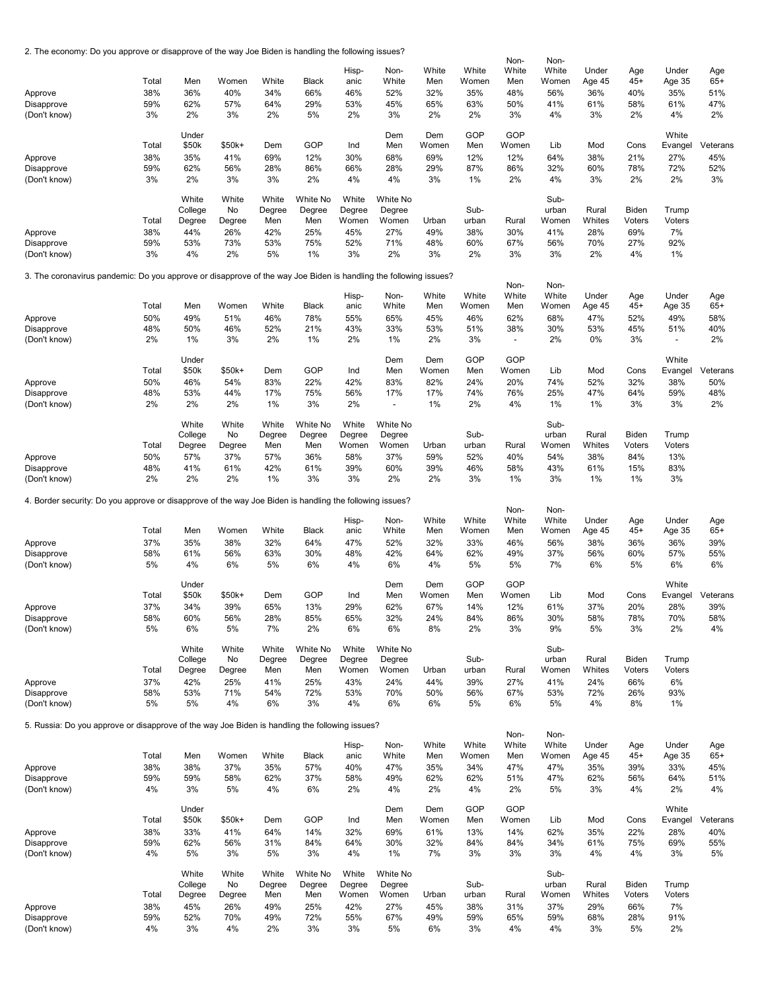2. The economy: Do you approve or disapprove of the way Joe Biden is handling the following issues?

| z. The economy: Do you approve or disapprove or the way Joe Biden is handling the lollowing issues?              |           |           |           |           |              |           |                          |           |           | Non-                            | Non-      |           |           |                                 |           |
|------------------------------------------------------------------------------------------------------------------|-----------|-----------|-----------|-----------|--------------|-----------|--------------------------|-----------|-----------|---------------------------------|-----------|-----------|-----------|---------------------------------|-----------|
|                                                                                                                  |           |           |           |           |              | Hisp-     | Non-                     | White     | White     | White                           | White     | Under     | Age       | Under                           | Age       |
|                                                                                                                  | Total     | Men       | Women     | White     | <b>Black</b> | anic      | White                    | Men       | Women     | Men                             | Women     | Age 45    | $45+$     | Age 35                          | $65+$     |
| Approve                                                                                                          | 38%       | 36%       | 40%       | 34%       | 66%          | 46%       | 52%                      | 32%       | 35%       | 48%                             | 56%       | 36%       | 40%       | 35%                             | 51%       |
| Disapprove                                                                                                       | 59%       | 62%       | 57%       | 64%       | 29%          | 53%       | 45%                      | 65%       | 63%       | 50%                             | 41%       | 61%       | 58%       | 61%                             | 47%       |
| (Don't know)                                                                                                     | 3%        | 2%        | 3%        | 2%        | 5%           | 2%        | 3%                       | 2%        | 2%        | 3%                              | 4%        | 3%        | 2%        | 4%                              | 2%        |
|                                                                                                                  |           | Under     |           |           |              |           | Dem                      | Dem       | GOP       | GOP                             |           |           |           | White                           |           |
|                                                                                                                  | Total     | \$50k     | \$50k+    | Dem       | GOP          | Ind       | Men                      | Women     | Men       | Women                           | Lib       | Mod       | Cons      | Evangel                         | Veterans  |
| Approve                                                                                                          | 38%       | 35%       | 41%       | 69%       | 12%          | 30%       | 68%                      | 69%       | 12%       | 12%                             | 64%       | 38%       | 21%       | 27%                             | 45%       |
| Disapprove                                                                                                       | 59%       | 62%       | 56%       | 28%       | 86%          | 66%       | 28%                      | 29%       | 87%       | 86%                             | 32%       | 60%       | 78%       | 72%                             | 52%       |
| (Don't know)                                                                                                     | 3%        | 2%        | 3%        | 3%        | 2%           | 4%        | 4%                       | 3%        | 1%        | 2%                              | 4%        | 3%        | 2%        | 2%                              | 3%        |
|                                                                                                                  |           | White     | White     | White     | White No     | White     | White No                 |           |           |                                 | Sub-      |           |           |                                 |           |
|                                                                                                                  |           | College   | No        | Degree    | Degree       | Degree    | Degree                   |           | Sub-      |                                 | urban     | Rural     | Biden     | Trump                           |           |
|                                                                                                                  | Total     | Degree    | Degree    | Men       | Men          | Women     | Women                    | Urban     | urban     | Rural                           | Women     | Whites    | Voters    | Voters                          |           |
| Approve                                                                                                          | 38%       | 44%       | 26%       | 42%       | 25%          | 45%       | 27%                      | 49%       | 38%       | 30%                             | 41%       | 28%       | 69%       | 7%                              |           |
| Disapprove                                                                                                       | 59%       | 53%       | 73%       | 53%       | 75%          | 52%       | 71%                      | 48%       | 60%       | 67%                             | 56%       | 70%       | 27%       | 92%                             |           |
| (Don't know)                                                                                                     | 3%        | 4%        | 2%        | 5%        | 1%           | 3%        | 2%                       | 3%        | 2%        | 3%                              | 3%        | 2%        | 4%        | 1%                              |           |
| 3. The coronavirus pandemic: Do you approve or disapprove of the way Joe Biden is handling the following issues? |           |           |           |           |              |           |                          |           |           |                                 |           |           |           |                                 |           |
|                                                                                                                  |           |           |           |           |              |           |                          |           |           | Non-                            | Non-      |           |           |                                 |           |
|                                                                                                                  |           |           |           |           |              | Hisp-     | Non-                     | White     | White     | White                           | White     | Under     | Age       | Under                           | Age       |
|                                                                                                                  | Total     | Men       | Women     | White     | <b>Black</b> | anic      | White                    | Men       | Women     | Men                             | Women     | Age 45    | $45+$     | Age 35                          | $65+$     |
| Approve                                                                                                          | 50%       | 49%       | 51%       | 46%       | 78%          | 55%       | 65%                      | 45%       | 46%       | 62%                             | 68%       | 47%       | 52%       | 49%                             | 58%       |
| Disapprove                                                                                                       | 48%<br>2% | 50%<br>1% | 46%<br>3% | 52%<br>2% | 21%<br>1%    | 43%<br>2% | 33%                      | 53%<br>2% | 51%<br>3% | 38%<br>$\overline{\phantom{a}}$ | 30%<br>2% | 53%<br>0% | 45%<br>3% | 51%<br>$\overline{\phantom{a}}$ | 40%<br>2% |
| (Don't know)                                                                                                     |           |           |           |           |              |           | 1%                       |           |           |                                 |           |           |           |                                 |           |
|                                                                                                                  |           | Under     |           |           |              |           | Dem                      | Dem       | GOP       | GOP                             |           |           |           | White                           |           |
|                                                                                                                  | Total     | \$50k     | \$50k+    | Dem       | GOP          | Ind       | Men                      | Women     | Men       | Women                           | Lib       | Mod       | Cons      | Evangel                         | Veterans  |
| Approve                                                                                                          | 50%       | 46%       | 54%       | 83%       | 22%          | 42%       | 83%                      | 82%       | 24%       | 20%                             | 74%       | 52%       | 32%       | 38%                             | 50%       |
| Disapprove                                                                                                       | 48%       | 53%       | 44%       | 17%       | 75%          | 56%       | 17%                      | 17%       | 74%       | 76%                             | 25%       | 47%       | 64%       | 59%                             | 48%       |
| (Don't know)                                                                                                     | 2%        | 2%        | 2%        | 1%        | 3%           | 2%        | $\overline{\phantom{a}}$ | 1%        | 2%        | 4%                              | 1%        | 1%        | 3%        | 3%                              | 2%        |
|                                                                                                                  |           | White     | White     | White     | White No     | White     | White No                 |           |           |                                 | Sub-      |           |           |                                 |           |
|                                                                                                                  |           | College   | No        | Degree    | Degree       | Degree    | Degree                   |           | Sub-      |                                 | urban     | Rural     | Biden     | Trump                           |           |
|                                                                                                                  | Total     | Degree    | Degree    | Men       | Men          | Women     | Women                    | Urban     | urban     | Rural                           | Women     | Whites    | Voters    | Voters                          |           |
| Approve                                                                                                          | 50%       | 57%       | 37%       | 57%       | 36%          | 58%       | 37%                      | 59%       | 52%       | 40%                             | 54%       | 38%       | 84%       | 13%                             |           |
| Disapprove                                                                                                       | 48%       | 41%       | 61%       | 42%       | 61%          | 39%       | 60%                      | 39%       | 46%       | 58%                             | 43%       | 61%       | 15%       | 83%                             |           |
| (Don't know)                                                                                                     | 2%        | 2%        | 2%        | 1%        | 3%           | 3%        | 2%                       | 2%        | 3%        | 1%                              | 3%        | 1%        | 1%        | 3%                              |           |
| 4. Border security: Do you approve or disapprove of the way Joe Biden is handling the following issues?          |           |           |           |           |              |           |                          |           |           |                                 |           |           |           |                                 |           |
|                                                                                                                  |           |           |           |           |              |           |                          |           |           | Non-                            | Non-      |           |           |                                 |           |
|                                                                                                                  |           |           |           |           |              | Hisp-     | Non-                     | White     | White     | White                           | White     | Under     | Age       | Under                           | Age       |
|                                                                                                                  | Total     | Men       | Women     | White     | <b>Black</b> | anic      | White                    | Men       | Women     | Men                             | Women     | Age 45    | $45+$     | Age 35                          | $65+$     |
| Approve                                                                                                          | 37%       | 35%       | 38%       | 32%       | 64%          | 47%       | 52%                      | 32%       | 33%       | 46%                             | 56%       | 38%       | 36%       | 36%                             | 39%       |
| Disapprove<br>(Don't know)                                                                                       | 58%<br>5% | 61%<br>4% | 56%<br>6% | 63%<br>5% | 30%<br>6%    | 48%<br>4% | 42%<br>6%                | 64%<br>4% | 62%<br>5% | 49%<br>5%                       | 37%<br>7% | 56%<br>6% | 60%<br>5% | 57%<br>6%                       | 55%<br>6% |
|                                                                                                                  |           |           |           |           |              |           |                          |           |           |                                 |           |           |           |                                 |           |
|                                                                                                                  |           | Under     |           |           |              |           | Dem                      | Dem       | GOP       | GOP                             |           |           |           | White                           |           |
|                                                                                                                  | Total     | \$50k     | \$50k+    | Dem       | GOP          | Ind       | Men                      | Women     | Men       | Women                           | Lib       | Mod       | Cons      | Evangel                         | Veterans  |
| Approve                                                                                                          | 37%       | 34%       | 39%       | 65%       | 13%          | 29%       | 62%                      | 67%       | 14%       | 12%                             | 61%       | 37%       | 20%       | 28%                             | 39%       |
| Disapprove                                                                                                       | 58%       | 60%       | 56%       | 28%       | 85%          | 65%       | 32%                      | 24%       | 84%       | 86%                             | 30%       | 58%       | 78%       | 70%                             | 58%       |
| (Don't know)                                                                                                     | 5%        | 6%        | 5%        | 7%        | 2%           | 6%        | 6%                       | 8%        | 2%        | 3%                              | 9%        | 5%        | 3%        | 2%                              | 4%        |
|                                                                                                                  |           | White     | White     | White     | White No     | White     | White No                 |           |           |                                 | Sub-      |           |           |                                 |           |
|                                                                                                                  |           | College   | No        | Degree    | Degree       | Degree    | Degree                   |           | Sub-      |                                 | urban     | Rural     | Biden     | Trump                           |           |
|                                                                                                                  | Total     | Degree    | Degree    | Men       | Men          | Women     | Women                    | Urban     | urban     | Rural                           | Women     | Whites    | Voters    | Voters                          |           |
| Approve                                                                                                          | 37%       | 42%       | 25%       | 41%       | 25%          | 43%       | 24%                      | 44%       | 39%       | 27%                             | 41%       | 24%       | 66%       | 6%                              |           |
| Disapprove                                                                                                       | 58%       | 53%       | 71%       | 54%       | 72%          | 53%       | 70%                      | 50%       | 56%       | 67%                             | 53%       | 72%       | 26%       | 93%                             |           |
| (Don't know)                                                                                                     | 5%        | 5%        | 4%        | 6%        | 3%           | 4%        | 6%                       | 6%        | 5%        | 6%                              | 5%        | 4%        | 8%        | 1%                              |           |
| 5. Russia: Do you approve or disapprove of the way Joe Biden is handling the following issues?                   |           |           |           |           |              |           |                          |           |           |                                 |           |           |           |                                 |           |
|                                                                                                                  |           |           |           |           |              |           |                          |           |           | Non-                            | Non-      |           |           |                                 |           |
|                                                                                                                  |           |           |           |           |              | Hisp-     | Non-                     | White     | White     | White                           | White     | Under     | Age       | Under                           | Age       |
|                                                                                                                  | Total     | Men       | Women     | White     | Black        | anic      | White                    | Men       | Women     | Men                             | Women     | Age 45    | 45+       | Age 35                          | $65+$     |
| Approve                                                                                                          | 38%       | 38%       | 37%       | 35%       | 57%          | 40%       | 47%                      | 35%       | 34%       | 47%                             | 47%       | 35%       | 39%       | 33%                             | 45%       |
| Disapprove<br>(Don't know)                                                                                       | 59%<br>4% | 59%<br>3% | 58%<br>5% | 62%<br>4% | 37%<br>6%    | 58%<br>2% | 49%<br>4%                | 62%<br>2% | 62%<br>4% | 51%<br>2%                       | 47%<br>5% | 62%<br>3% | 56%<br>4% | 64%<br>2%                       | 51%<br>4% |
|                                                                                                                  |           |           |           |           |              |           |                          |           |           |                                 |           |           |           |                                 |           |
|                                                                                                                  |           | Under     |           |           |              |           | Dem                      | Dem       | GOP       | GOP                             |           |           |           | White                           |           |
|                                                                                                                  | Total     | \$50k     | \$50k+    | Dem       | GOP          | Ind       | Men                      | Women     | Men       | Women                           | Lib       | Mod       | Cons      | Evangel                         | Veterans  |
| Approve                                                                                                          | 38%       | 33%       | 41%       | 64%       | 14%          | 32%       | 69%                      | 61%       | 13%       | 14%                             | 62%       | 35%       | 22%       | 28%                             | 40%       |
| Disapprove                                                                                                       | 59%       | 62%       | 56%       | 31%       | 84%          | 64%       | 30%                      | 32%       | 84%       | 84%                             | 34%       | 61%       | 75%       | 69%                             | 55%       |
| (Don't know)                                                                                                     | 4%        | 5%        | 3%        | 5%        | 3%           | 4%        | 1%                       | 7%        | 3%        | 3%                              | 3%        | 4%        | 4%        | 3%                              | 5%        |
|                                                                                                                  |           | White     | White     | White     | White No     | White     | White No                 |           |           |                                 | Sub-      |           |           |                                 |           |
|                                                                                                                  |           | College   | No        | Degree    | Degree       | Degree    | Degree                   |           | Sub-      |                                 | urban     | Rural     | Biden     | Trump                           |           |
|                                                                                                                  | Total     | Degree    | Degree    | Men       | Men          | Women     | Women                    | Urban     | urban     | Rural                           | Women     | Whites    | Voters    | Voters                          |           |
| Approve                                                                                                          | 38%       | 45%       | 26%       | 49%       | 25%          | 42%       | 27%                      | 45%       | 38%       | 31%                             | 37%       | 29%       | 66%       | 7%                              |           |
| Disapprove                                                                                                       | 59%       | 52%       | 70%       | 49%       | 72%          | 55%       | 67%                      | 49%       | 59%       | 65%                             | 59%       | 68%       | 28%       | 91%                             |           |
| (Don't know)                                                                                                     | 4%        | 3%        | 4%        | 2%        | 3%           | 3%        | 5%                       | 6%        | 3%        | 4%                              | 4%        | 3%        | 5%        | 2%                              |           |
|                                                                                                                  |           |           |           |           |              |           |                          |           |           |                                 |           |           |           |                                 |           |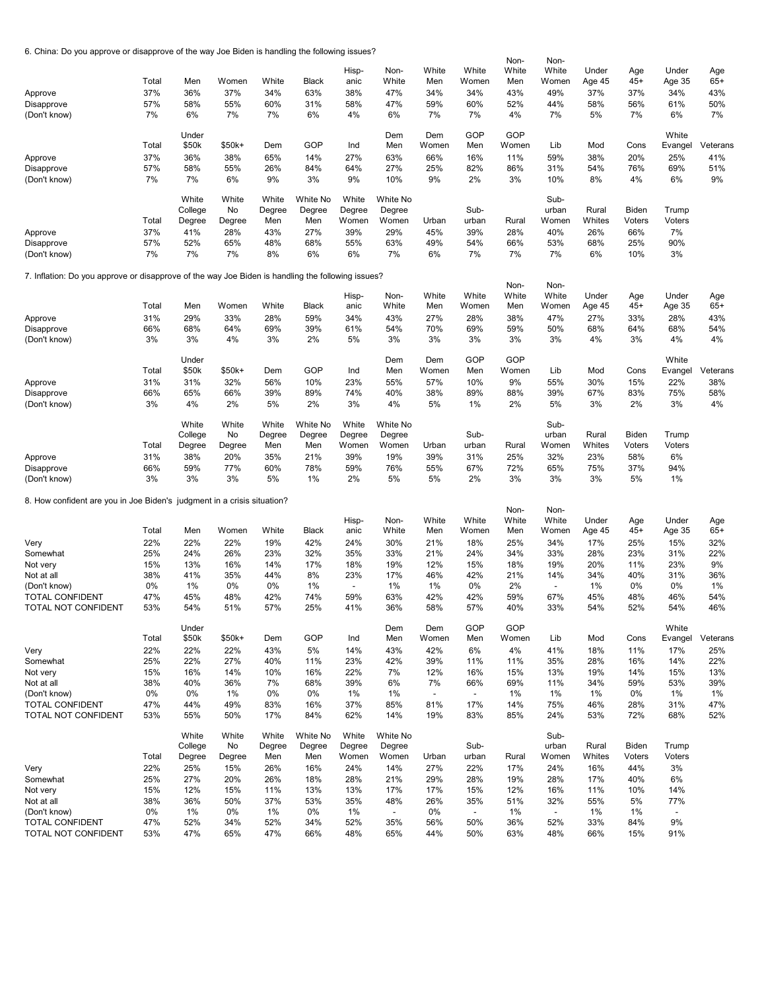6. China: Do you approve or disapprove of the way Joe Biden is handling the following issues?

| o. China: Do you approve or disapprove or the way Joe Biden is handling the iollowing issues?     |       |         |        |                 |                    |                          |                    |                          |                          | Non-  | Non-                     |        |        |                          |          |
|---------------------------------------------------------------------------------------------------|-------|---------|--------|-----------------|--------------------|--------------------------|--------------------|--------------------------|--------------------------|-------|--------------------------|--------|--------|--------------------------|----------|
|                                                                                                   |       |         |        |                 |                    | Hisp-                    | Non-               | White                    | White                    | White | White                    | Under  | Age    | Under                    | Age      |
|                                                                                                   | Total | Men     | Women  | White           | <b>Black</b>       | anic                     | White              | Men                      | Women                    | Men   | Women                    | Age 45 | $45+$  | Age 35                   | $65+$    |
| Approve                                                                                           | 37%   | 36%     | 37%    | 34%             | 63%                | 38%                      | 47%                | 34%                      | 34%                      | 43%   | 49%                      | 37%    | 37%    | 34%                      | 43%      |
| Disapprove                                                                                        | 57%   | 58%     | 55%    | 60%             | 31%                | 58%                      | 47%                | 59%                      | 60%                      | 52%   | 44%                      | 58%    | 56%    | 61%                      | 50%      |
| (Don't know)                                                                                      | 7%    | 6%      | 7%     | 7%              | 6%                 | 4%                       | 6%                 | 7%                       | 7%                       | 4%    | 7%                       | 5%     | 7%     | 6%                       | 7%       |
|                                                                                                   |       | Under   |        |                 |                    |                          | Dem                | Dem                      | GOP                      | GOP   |                          |        |        | White                    |          |
|                                                                                                   | Total | \$50k   | \$50k+ | Dem             | GOP                | Ind                      | Men                | Women                    | Men                      | Women | Lib                      | Mod    | Cons   | Evangel                  | Veterans |
| Approve                                                                                           | 37%   | 36%     | 38%    | 65%             | 14%                | 27%                      | 63%                | 66%                      | 16%                      | 11%   | 59%                      | 38%    | 20%    | 25%                      | 41%      |
| Disapprove                                                                                        | 57%   | 58%     | 55%    | 26%             | 84%                | 64%                      | 27%                | 25%                      | 82%                      | 86%   | 31%                      | 54%    | 76%    | 69%                      | 51%      |
| (Don't know)                                                                                      | 7%    | 7%      | 6%     | 9%              | 3%                 | 9%                       | 10%                | 9%                       | 2%                       | 3%    | 10%                      | 8%     | 4%     | 6%                       | 9%       |
|                                                                                                   |       | White   | White  | White           | White No           | White                    | White No           |                          |                          |       | Sub-                     |        |        |                          |          |
|                                                                                                   |       | College | No     | Degree          | Degree             | Degree                   | Degree             |                          | Sub-                     |       | urban                    | Rural  | Biden  | Trump                    |          |
|                                                                                                   | Total | Degree  | Degree | Men             | Men                | Women                    | Women              | Urban                    | urban                    | Rural | Women                    | Whites | Voters | Voters                   |          |
| Approve                                                                                           | 37%   | 41%     | 28%    | 43%             | 27%                | 39%                      | 29%                | 45%                      | 39%                      | 28%   | 40%                      | 26%    | 66%    | 7%                       |          |
| Disapprove                                                                                        | 57%   | 52%     | 65%    | 48%             | 68%                | 55%                      | 63%                | 49%                      | 54%                      | 66%   | 53%                      | 68%    | 25%    | 90%                      |          |
| (Don't know)                                                                                      | 7%    | 7%      | 7%     | 8%              | 6%                 | 6%                       | 7%                 | 6%                       | 7%                       | 7%    | 7%                       | 6%     | 10%    | 3%                       |          |
| 7. Inflation: Do you approve or disapprove of the way Joe Biden is handling the following issues? |       |         |        |                 |                    |                          |                    |                          |                          |       |                          |        |        |                          |          |
|                                                                                                   |       |         |        |                 |                    |                          |                    |                          |                          | Non-  | Non-                     |        |        |                          |          |
|                                                                                                   |       |         |        |                 |                    | Hisp-                    | Non-               | White                    | White                    | White | White                    | Under  | Age    | Under                    | Age      |
|                                                                                                   | Total | Men     | Women  | White           | <b>Black</b>       | anic                     | White              | Men                      | Women                    | Men   | Women                    | Age 45 | $45+$  | Age 35                   | $65+$    |
| Approve                                                                                           | 31%   | 29%     | 33%    | 28%             | 59%                | 34%                      | 43%                | 27%                      | 28%                      | 38%   | 47%                      | 27%    | 33%    | 28%                      | 43%      |
| Disapprove                                                                                        | 66%   | 68%     | 64%    | 69%             | 39%                | 61%                      | 54%                | 70%                      | 69%                      | 59%   | 50%                      | 68%    | 64%    | 68%                      | 54%      |
| (Don't know)                                                                                      | 3%    | 3%      | 4%     | 3%              | 2%                 | 5%                       | 3%                 | 3%                       | 3%                       | 3%    | 3%                       | 4%     | 3%     | 4%                       | 4%       |
|                                                                                                   |       | Under   |        |                 |                    |                          | Dem                | Dem                      | GOP                      | GOP   |                          |        |        | White                    |          |
|                                                                                                   | Total | \$50k   | \$50k+ | Dem             | GOP                | Ind                      | Men                | Women                    | Men                      | Women | Lib                      | Mod    | Cons   | Evangel                  | Veterans |
| Approve                                                                                           | 31%   | 31%     | 32%    | 56%             | 10%                | 23%                      | 55%                | 57%                      | 10%                      | 9%    | 55%                      | 30%    | 15%    | 22%                      | 38%      |
| Disapprove                                                                                        | 66%   | 65%     | 66%    | 39%             | 89%                | 74%                      | 40%                | 38%                      | 89%                      | 88%   | 39%                      | 67%    | 83%    | 75%                      | 58%      |
| (Don't know)                                                                                      | 3%    | 4%      | 2%     | 5%              | 2%                 | 3%                       | 4%                 | 5%                       | 1%                       | 2%    | 5%                       | 3%     | 2%     | 3%                       | 4%       |
|                                                                                                   |       | White   | White  |                 |                    |                          |                    |                          |                          |       |                          |        |        |                          |          |
|                                                                                                   |       | College | No     | White<br>Degree | White No<br>Degree | White<br>Degree          | White No<br>Degree |                          | Sub-                     |       | Sub-<br>urban            | Rural  | Biden  | Trump                    |          |
|                                                                                                   | Total | Degree  | Degree | Men             | Men                | Women                    | Women              | Urban                    | urban                    | Rural | Women                    | Whites | Voters | Voters                   |          |
| Approve                                                                                           | 31%   | 38%     | 20%    | 35%             | 21%                | 39%                      | 19%                | 39%                      | 31%                      | 25%   | 32%                      | 23%    | 58%    | 6%                       |          |
| Disapprove                                                                                        | 66%   | 59%     | 77%    | 60%             | 78%                | 59%                      | 76%                | 55%                      | 67%                      | 72%   | 65%                      | 75%    | 37%    | 94%                      |          |
| (Don't know)                                                                                      | 3%    | 3%      | 3%     | 5%              | 1%                 | 2%                       | 5%                 | 5%                       | 2%                       | 3%    | 3%                       | 3%     | 5%     | 1%                       |          |
|                                                                                                   |       |         |        |                 |                    |                          |                    |                          |                          |       |                          |        |        |                          |          |
| 8. How confident are you in Joe Biden's judgment in a crisis situation?                           |       |         |        |                 |                    |                          |                    |                          |                          | Non-  | Non-                     |        |        |                          |          |
|                                                                                                   |       |         |        |                 |                    | Hisp-                    | Non-               | White                    | White                    | White | White                    | Under  | Age    | Under                    | Age      |
|                                                                                                   | Total | Men     | Women  | White           | <b>Black</b>       | anic                     | White              | Men                      | Women                    | Men   | Women                    | Age 45 | $45+$  | Age 35                   | $65+$    |
| Very                                                                                              | 22%   | 22%     | 22%    | 19%             | 42%                | 24%                      | 30%                | 21%                      | 18%                      | 25%   | 34%                      | 17%    | 25%    | 15%                      | 32%      |
| Somewhat                                                                                          | 25%   | 24%     | 26%    | 23%             | 32%                | 35%                      | 33%                | 21%                      | 24%                      | 34%   | 33%                      | 28%    | 23%    | 31%                      | 22%      |
| Not very                                                                                          | 15%   | 13%     | 16%    | 14%             | 17%                | 18%                      | 19%                | 12%                      | 15%                      | 18%   | 19%                      | 20%    | 11%    | 23%                      | 9%       |
| Not at all                                                                                        | 38%   | 41%     | 35%    | 44%             | 8%                 | 23%                      | 17%                | 46%                      | 42%                      | 21%   | 14%                      | 34%    | 40%    | 31%                      | 36%      |
| (Don't know)                                                                                      | 0%    | 1%      | 0%     | 0%              | 1%                 | $\overline{\phantom{a}}$ | 1%                 | 1%                       | 0%                       | 2%    | $\overline{\phantom{a}}$ | $1\%$  | 0%     | 0%                       | 1%       |
| TOTAL CONFIDENT                                                                                   | 47%   | 45%     | 48%    | 42%             | 74%                | 59%                      | 63%                | 42%                      | 42%                      | 59%   | 67%                      | 45%    | 48%    | 46%                      | 54%      |
| TOTAL NOT CONFIDENT                                                                               | 53%   | 54%     | 51%    | 57%             | 25%                | 41%                      | 36%                | 58%                      | 57%                      | 40%   | 33%                      | 54%    | 52%    | 54%                      | 46%      |
|                                                                                                   |       | Under   |        |                 |                    |                          | Dem                | Dem                      | GOP                      | GOP   |                          |        |        | White                    |          |
|                                                                                                   | Total | \$50k   | \$50k+ | Dem             | GOP                | Ind                      | Men                | Women                    | Men                      | Women | Lib                      | Mod    | Cons   | Evangel                  | Veterans |
| Very                                                                                              | 22%   | 22%     | 22%    | 43%             | 5%                 | 14%                      | 43%                | 42%                      | 6%                       | 4%    | 41%                      | 18%    | 11%    | 17%                      | 25%      |
| Somewhat                                                                                          | 25%   | 22%     | 27%    | 40%             | 11%                | 23%                      | 42%                | 39%                      | 11%                      | 11%   | 35%                      | 28%    | 16%    | 14%                      | 22%      |
| Not very                                                                                          | 15%   | 16%     | 14%    | 10%             | 16%                | 22%                      | 7%                 | 12%                      | 16%                      | 15%   | 13%                      | 19%    | 14%    | 15%                      | 13%      |
| Not at all                                                                                        | 38%   | 40%     | 36%    | 7%              | 68%                | 39%                      | 6%                 | 7%                       | 66%                      | 69%   | 11%                      | 34%    | 59%    | 53%                      | 39%      |
| (Don't know)                                                                                      | 0%    | 0%      | 1%     | 0%              | 0%                 | 1%                       | 1%                 | $\overline{\phantom{a}}$ | $\overline{\phantom{a}}$ | 1%    | 1%                       | 1%     | 0%     | 1%                       | 1%       |
| <b>TOTAL CONFIDENT</b>                                                                            | 47%   | 44%     | 49%    | 83%             | 16%                | 37%                      | 85%                | 81%                      | 17%                      | 14%   | 75%                      | 46%    | 28%    | 31%                      | 47%      |
| TOTAL NOT CONFIDENT                                                                               | 53%   | 55%     | 50%    | 17%             | 84%                | 62%                      | 14%                | 19%                      | 83%                      | 85%   | 24%                      | 53%    | 72%    | 68%                      | 52%      |
|                                                                                                   |       | White   | White  | White           | White No           | White                    | White No           |                          |                          |       | Sub-                     |        |        |                          |          |
|                                                                                                   |       | College | No     | Degree          | Degree             | Degree                   | Degree             |                          | Sub-                     |       | urban                    | Rural  | Biden  | Trump                    |          |
|                                                                                                   | Total | Degree  | Degree | Men             | Men                | Women                    | Women              | Urban                    | urban                    | Rural | Women                    | Whites | Voters | Voters                   |          |
| Very                                                                                              | 22%   | 25%     | 15%    | 26%             | 16%                | 24%                      | 14%                | 27%                      | 22%                      | 17%   | 24%                      | 16%    | 44%    | 3%                       |          |
| Somewhat                                                                                          | 25%   | 27%     | 20%    | 26%             | 18%                | 28%                      | 21%                | 29%                      | 28%                      | 19%   | 28%                      | 17%    | 40%    | 6%                       |          |
| Not very                                                                                          | 15%   | 12%     | 15%    | 11%             | 13%                | 13%                      | 17%                | 17%                      | 15%                      | 12%   | 16%                      | 11%    | 10%    | 14%                      |          |
| Not at all                                                                                        | 38%   | 36%     | 50%    | 37%             | 53%                | 35%                      | 48%                | 26%                      | 35%                      | 51%   | 32%                      | 55%    | 5%     | 77%                      |          |
| (Don't know)                                                                                      | 0%    | 1%      | 0%     | 1%              | 0%                 | 1%                       | $\blacksquare$     | 0%                       | $\overline{\phantom{a}}$ | 1%    | $\overline{\phantom{a}}$ | $1\%$  | 1%     | $\overline{\phantom{a}}$ |          |
| <b>TOTAL CONFIDENT</b>                                                                            | 47%   | 52%     | 34%    | 52%             | 34%                | 52%                      | 35%                | 56%                      | 50%                      | 36%   | 52%                      | 33%    | 84%    | 9%                       |          |
| TOTAL NOT CONFIDENT                                                                               | 53%   | 47%     | 65%    | 47%             | 66%                | 48%                      | 65%                | 44%                      | 50%                      | 63%   | 48%                      | 66%    | 15%    | 91%                      |          |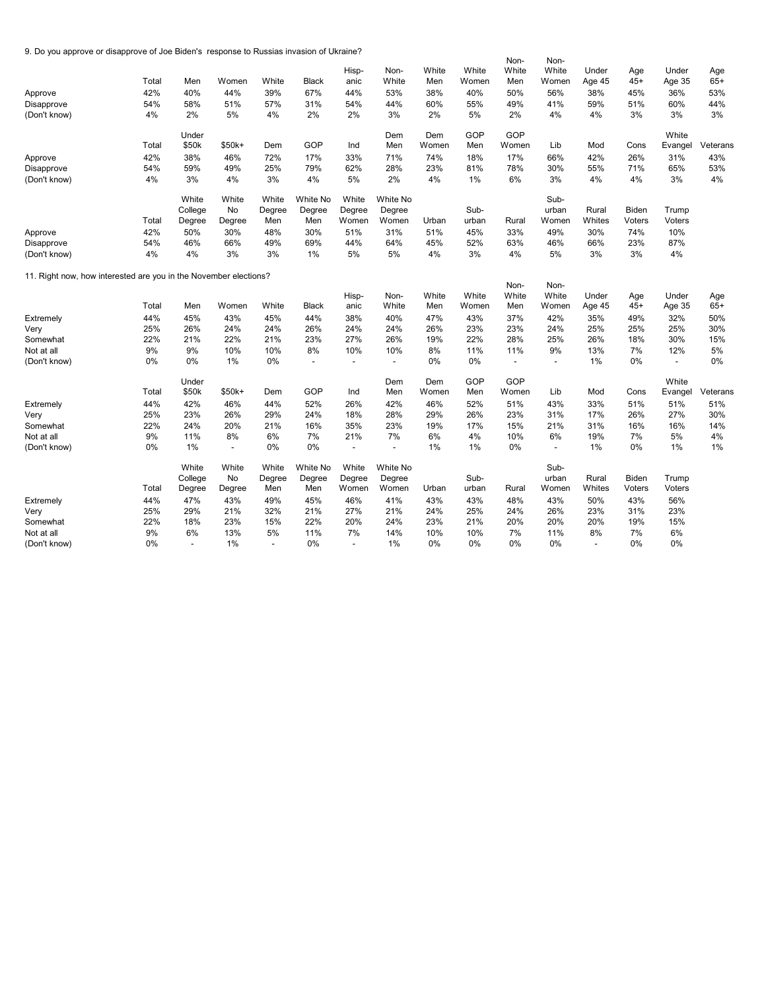9. Do you approve or disapprove of Joe Biden's response to Russias invasion of Ukraine?

| 9. Do you approve or disapprove of Joe Biden's Tesponse to Russias invasion of Okrame? |       |                |                |                          |                          |                          |                          |       |       | Non-                     | Non-                     |                |        |                          |          |
|----------------------------------------------------------------------------------------|-------|----------------|----------------|--------------------------|--------------------------|--------------------------|--------------------------|-------|-------|--------------------------|--------------------------|----------------|--------|--------------------------|----------|
|                                                                                        |       |                |                |                          |                          | Hisp-                    | Non-                     | White | White | White                    | White                    | Under          | Age    | Under                    | Age      |
|                                                                                        | Total | Men            | Women          | White                    | <b>Black</b>             | anic                     | White                    | Men   | Women | Men                      | Women                    | Age 45         | $45+$  | Age 35                   | $65+$    |
| Approve                                                                                | 42%   | 40%            | 44%            | 39%                      | 67%                      | 44%                      | 53%                      | 38%   | 40%   | 50%                      | 56%                      | 38%            | 45%    | 36%                      | 53%      |
| Disapprove                                                                             | 54%   | 58%            | 51%            | 57%                      | 31%                      | 54%                      | 44%                      | 60%   | 55%   | 49%                      | 41%                      | 59%            | 51%    | 60%                      | 44%      |
| (Don't know)                                                                           | 4%    | 2%             | 5%             | 4%                       | 2%                       | 2%                       | 3%                       | 2%    | 5%    | 2%                       | 4%                       | 4%             | 3%     | 3%                       | 3%       |
|                                                                                        |       |                |                |                          |                          |                          |                          |       |       |                          |                          |                |        |                          |          |
|                                                                                        |       | Under          |                |                          |                          |                          | Dem                      | Dem   | GOP   | GOP                      |                          |                |        | White                    |          |
|                                                                                        | Total | \$50k          | \$50k+         | Dem                      | GOP                      | Ind                      | Men                      | Women | Men   | Women                    | Lib                      | Mod            | Cons   | Evangel                  | Veterans |
| Approve                                                                                | 42%   | 38%            | 46%            | 72%                      | 17%                      | 33%                      | 71%                      | 74%   | 18%   | 17%                      | 66%                      | 42%            | 26%    | 31%                      | 43%      |
| Disapprove                                                                             | 54%   | 59%            | 49%            | 25%                      | 79%                      | 62%                      | 28%                      | 23%   | 81%   | 78%                      | 30%                      | 55%            | 71%    | 65%                      | 53%      |
| (Don't know)                                                                           | 4%    | 3%             | 4%             | 3%                       | 4%                       | 5%                       | 2%                       | 4%    | 1%    | 6%                       | 3%                       | 4%             | 4%     | 3%                       | 4%       |
|                                                                                        |       |                |                |                          |                          |                          |                          |       |       |                          |                          |                |        |                          |          |
|                                                                                        |       | White          | White          | White                    | White No                 | White                    | White No                 |       |       |                          | Sub-                     |                |        |                          |          |
|                                                                                        |       | College        | No             | Degree                   | Degree                   | Degree                   | Degree                   |       | Sub-  |                          | urban                    | Rural          | Biden  | Trump                    |          |
|                                                                                        | Total | Degree         | Degree         | Men                      | Men                      | Women                    | Women                    | Urban | urban | Rural                    | Women                    | Whites         | Voters | Voters                   |          |
| Approve                                                                                | 42%   | 50%            | 30%            | 48%                      | 30%                      | 51%                      | 31%                      | 51%   | 45%   | 33%                      | 49%                      | 30%            | 74%    | 10%                      |          |
| Disapprove                                                                             | 54%   | 46%            | 66%            | 49%                      | 69%                      | 44%                      | 64%                      | 45%   | 52%   | 63%                      | 46%                      | 66%            | 23%    | 87%                      |          |
| (Don't know)                                                                           | 4%    | 4%             | 3%             | 3%                       | 1%                       | 5%                       | 5%                       | 4%    | 3%    | 4%                       | 5%                       | 3%             | 3%     | 4%                       |          |
|                                                                                        |       |                |                |                          |                          |                          |                          |       |       |                          |                          |                |        |                          |          |
| 11. Right now, how interested are you in the November elections?                       |       |                |                |                          |                          |                          |                          |       |       | Non-                     | Non-                     |                |        |                          |          |
|                                                                                        |       |                |                |                          |                          | Hisp-                    | Non-                     | White | White | White                    | White                    | Under          | Age    | Under                    | Age      |
|                                                                                        | Total | Men            | Women          | White                    | <b>Black</b>             | anic                     | White                    | Men   | Women | Men                      | Women                    | Age 45         | $45+$  | Age 35                   | $65+$    |
| Extremely                                                                              | 44%   | 45%            | 43%            | 45%                      | 44%                      | 38%                      | 40%                      | 47%   | 43%   | 37%                      | 42%                      | 35%            | 49%    | 32%                      | 50%      |
| Very                                                                                   | 25%   | 26%            | 24%            | 24%                      | 26%                      | 24%                      | 24%                      | 26%   | 23%   | 23%                      | 24%                      | 25%            | 25%    | 25%                      | 30%      |
| Somewhat                                                                               | 22%   | 21%            | 22%            | 21%                      | 23%                      | 27%                      | 26%                      | 19%   | 22%   | 28%                      | 25%                      | 26%            | 18%    | 30%                      | 15%      |
| Not at all                                                                             | 9%    | 9%             | 10%            | 10%                      | 8%                       | 10%                      | 10%                      | 8%    | 11%   | 11%                      | 9%                       | 13%            | 7%     | 12%                      | 5%       |
| (Don't know)                                                                           | 0%    | 0%             | 1%             | 0%                       | $\overline{\phantom{a}}$ | $\overline{\phantom{a}}$ | $\overline{\phantom{a}}$ | $0\%$ | 0%    | $\overline{\phantom{a}}$ | $\overline{\phantom{a}}$ | $1\%$          | 0%     | $\overline{\phantom{a}}$ | 0%       |
|                                                                                        |       |                |                |                          |                          |                          |                          |       |       |                          |                          |                |        |                          |          |
|                                                                                        |       | Under          |                |                          |                          |                          | Dem                      | Dem   | GOP   | GOP                      |                          |                |        | White                    |          |
|                                                                                        | Total | \$50k          | \$50k+         | Dem                      | GOP                      | Ind                      | Men                      | Women | Men   | Women                    | Lib                      | Mod            | Cons   | Evangel                  | Veterans |
| Extremely                                                                              | 44%   | 42%            | 46%            | 44%                      | 52%                      | 26%                      | 42%                      | 46%   | 52%   | 51%                      | 43%                      | 33%            | 51%    | 51%                      | 51%      |
| Very                                                                                   | 25%   | 23%            | 26%            | 29%                      | 24%                      | 18%                      | 28%                      | 29%   | 26%   | 23%                      | 31%                      | 17%            | 26%    | 27%                      | 30%      |
| Somewhat                                                                               | 22%   | 24%            | 20%            | 21%                      | 16%                      | 35%                      | 23%                      | 19%   | 17%   | 15%                      | 21%                      | 31%            | 16%    | 16%                      | 14%      |
| Not at all                                                                             | 9%    | 11%            | 8%             | 6%                       | 7%                       | 21%                      | 7%                       | 6%    | 4%    | 10%                      | 6%                       | 19%            | 7%     | 5%                       | 4%       |
| (Don't know)                                                                           | 0%    | 1%             | $\blacksquare$ | 0%                       | 0%                       | L,                       | $\overline{a}$           | 1%    | 1%    | 0%                       | $\overline{a}$           | 1%             | 0%     | 1%                       | 1%       |
|                                                                                        |       | White          | White          | White                    | White No                 | White                    | White No                 |       |       |                          | Sub-                     |                |        |                          |          |
|                                                                                        |       | College        | No             | Degree                   | Degree                   | Degree                   | Degree                   |       | Sub-  |                          | urban                    | Rural          | Biden  | Trump                    |          |
|                                                                                        | Total | Degree         | Degree         | Men                      | Men                      | Women                    | Women                    | Urban | urban | Rural                    | Women                    | Whites         | Voters | Voters                   |          |
| Extremely                                                                              | 44%   | 47%            | 43%            | 49%                      | 45%                      | 46%                      | 41%                      | 43%   | 43%   | 48%                      | 43%                      | 50%            | 43%    | 56%                      |          |
| Very                                                                                   | 25%   | 29%            | 21%            | 32%                      | 21%                      | 27%                      | 21%                      | 24%   | 25%   | 24%                      | 26%                      | 23%            | 31%    | 23%                      |          |
| Somewhat                                                                               | 22%   | 18%            | 23%            | 15%                      | 22%                      | 20%                      | 24%                      | 23%   | 21%   | 20%                      | 20%                      | 20%            | 19%    | 15%                      |          |
| Not at all                                                                             | 9%    | 6%             | 13%            | 5%                       | 11%                      | 7%                       | 14%                      | 10%   | 10%   | 7%                       | 11%                      | 8%             | 7%     | 6%                       |          |
| (Don't know)                                                                           | $0\%$ | $\blacksquare$ | 1%             | $\overline{\phantom{a}}$ | 0%                       | $\overline{a}$           | 1%                       | $0\%$ | $0\%$ | 0%                       | 0%                       | $\blacksquare$ | 0%     | 0%                       |          |
|                                                                                        |       |                |                |                          |                          |                          |                          |       |       |                          |                          |                |        |                          |          |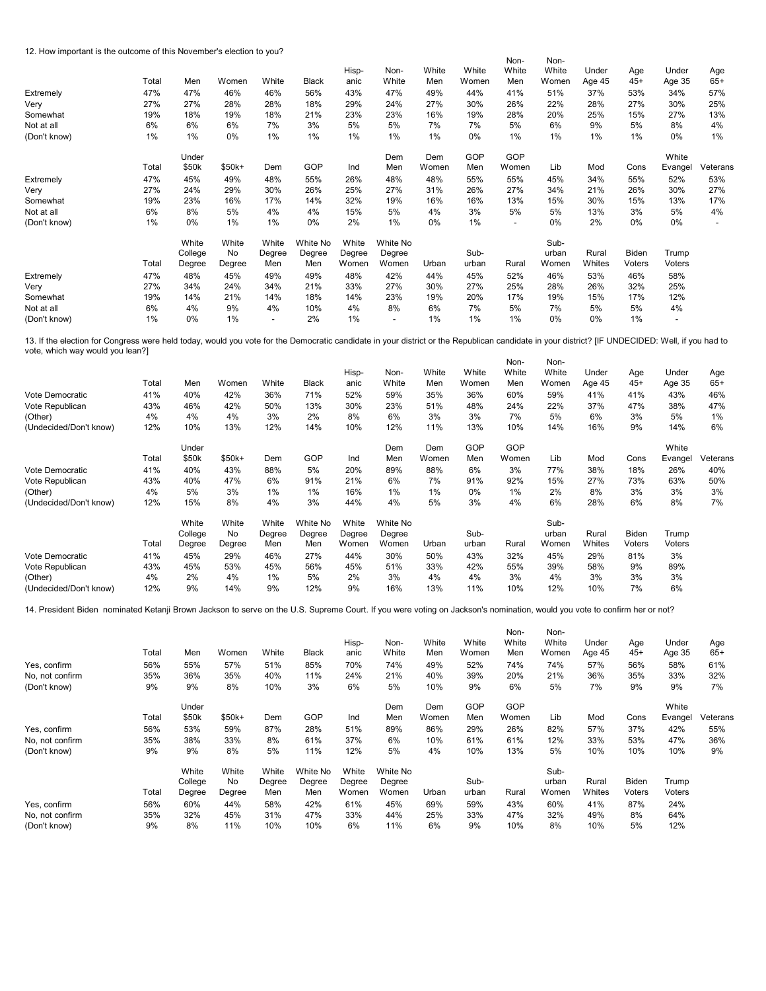12. How important is the outcome of this November's election to you?

| iz. How important is the outcome of this november's election to you? |       |         |         |                          |              |        |                          |       |       | Non-                     | Non-  |        |        |                          |          |
|----------------------------------------------------------------------|-------|---------|---------|--------------------------|--------------|--------|--------------------------|-------|-------|--------------------------|-------|--------|--------|--------------------------|----------|
|                                                                      |       |         |         |                          |              | Hisp-  | Non-                     | White | White | White                    | White | Under  | Age    | Under                    | Age      |
|                                                                      | Total | Men     | Women   | White                    | <b>Black</b> | anic   | White                    | Men   | Women | Men                      | Women | Age 45 | $45+$  | Age 35                   | $65+$    |
| Extremely                                                            | 47%   | 47%     | 46%     | 46%                      | 56%          | 43%    | 47%                      | 49%   | 44%   | 41%                      | 51%   | 37%    | 53%    | 34%                      | 57%      |
| Very                                                                 | 27%   | 27%     | 28%     | 28%                      | 18%          | 29%    | 24%                      | 27%   | 30%   | 26%                      | 22%   | 28%    | 27%    | 30%                      | 25%      |
| Somewhat                                                             | 19%   | 18%     | 19%     | 18%                      | 21%          | 23%    | 23%                      | 16%   | 19%   | 28%                      | 20%   | 25%    | 15%    | 27%                      | 13%      |
| Not at all                                                           | 6%    | 6%      | 6%      | 7%                       | 3%           | 5%     | 5%                       | 7%    | 7%    | 5%                       | 6%    | 9%     | 5%     | 8%                       | 4%       |
| (Don't know)                                                         | 1%    | 1%      | 0%      | 1%                       | 1%           | $1\%$  | 1%                       | 1%    | $0\%$ | 1%                       | 1%    | 1%     | 1%     | 0%                       | 1%       |
|                                                                      |       | Under   |         |                          |              |        | Dem                      | Dem   | GOP   | GOP                      |       |        |        | White                    |          |
|                                                                      | Total | \$50k   | $$50k+$ | Dem                      | GOP          | Ind    | Men                      | Women | Men   | Women                    | Lib   | Mod    | Cons   | Evangel                  | Veterans |
| Extremely                                                            | 47%   | 45%     | 49%     | 48%                      | 55%          | 26%    | 48%                      | 48%   | 55%   | 55%                      | 45%   | 34%    | 55%    | 52%                      | 53%      |
| Very                                                                 | 27%   | 24%     | 29%     | 30%                      | 26%          | 25%    | 27%                      | 31%   | 26%   | 27%                      | 34%   | 21%    | 26%    | 30%                      | 27%      |
| Somewhat                                                             | 19%   | 23%     | 16%     | 17%                      | 14%          | 32%    | 19%                      | 16%   | 16%   | 13%                      | 15%   | 30%    | 15%    | 13%                      | 17%      |
| Not at all                                                           | 6%    | 8%      | 5%      | 4%                       | 4%           | 15%    | 5%                       | 4%    | 3%    | 5%                       | 5%    | 13%    | 3%     | 5%                       | 4%       |
| (Don't know)                                                         | 1%    | 0%      | 1%      | 1%                       | 0%           | 2%     | 1%                       | $0\%$ | 1%    | $\overline{\phantom{a}}$ | 0%    | 2%     | $0\%$  | $0\%$                    |          |
|                                                                      |       | White   | White   | White                    | White No     | White  | White No                 |       |       |                          | Sub-  |        |        |                          |          |
|                                                                      |       | College | No      | Degree                   | Degree       | Degree | Degree                   |       | Sub-  |                          | urban | Rural  | Biden  | Trump                    |          |
|                                                                      | Total | Degree  | Degree  | Men                      | Men          | Women  | Women                    | Urban | urban | Rural                    | Women | Whites | Voters | Voters                   |          |
| Extremely                                                            | 47%   | 48%     | 45%     | 49%                      | 49%          | 48%    | 42%                      | 44%   | 45%   | 52%                      | 46%   | 53%    | 46%    | 58%                      |          |
| Very                                                                 | 27%   | 34%     | 24%     | 34%                      | 21%          | 33%    | 27%                      | 30%   | 27%   | 25%                      | 28%   | 26%    | 32%    | 25%                      |          |
| Somewhat                                                             | 19%   | 14%     | 21%     | 14%                      | 18%          | 14%    | 23%                      | 19%   | 20%   | 17%                      | 19%   | 15%    | 17%    | 12%                      |          |
| Not at all                                                           | 6%    | 4%      | 9%      | 4%                       | 10%          | 4%     | 8%                       | 6%    | 7%    | 5%                       | 7%    | 5%     | 5%     | 4%                       |          |
| (Don't know)                                                         | 1%    | 0%      | 1%      | $\overline{\phantom{a}}$ | 2%           | $1\%$  | $\overline{\phantom{a}}$ | 1%    | 1%    | 1%                       | 0%    | 0%     | 1%     | $\overline{\phantom{a}}$ |          |

 $N_{\rm H}$  $N_{\rm c}$ 13. If the election for Congress were held today, would you vote for the Democratic candidate in your district or the Republican candidate in your district? [IF UNDECIDED: Well, if you had to vote, which way would you lean?]

| GOP<br>GOP<br>Dem<br>White<br>Dem<br>Under<br>GOP<br>\$50k<br>$$50k+$<br>Total<br>Dem<br>Ind<br>Men<br>Women<br>Cons<br>Men<br>Women<br>Lib<br>Mod<br>Evangel<br>5%<br>3%<br>77%<br>38%<br>41%<br>40%<br>43%<br>88%<br>20%<br>89%<br>88%<br>6%<br>18%<br>26%<br>Vote Democratic<br>6%<br>47%<br>91%<br>21%<br>91%<br>92%<br>15%<br>27%<br>73%<br>Vote Republican<br>43%<br>40%<br>6%<br>7%<br>63%<br>3%<br>1%<br>8%<br>4%<br>5%<br>1%<br>16%<br>1%<br>1%<br>1%<br>2%<br>3%<br>3%<br>(Other)<br>$0\%$<br>3%<br>8%<br>3%<br>3%<br>4%<br>(Undecided/Don't know)<br>12%<br>15%<br>4%<br>44%<br>4%<br>5%<br>6%<br>28%<br>6%<br>8%<br>7%<br>Sub-<br>White<br>White<br>White No<br>White<br>White<br>White No<br>Sub-<br><b>Biden</b><br>College<br>Degree<br>Degree<br>Rural<br>No<br>Degree<br>Degree<br>Trump<br>urban<br>Whites<br>Total<br>Degree<br>Women<br>Urban<br>Rural<br>Women<br>Degree<br>Men<br>Women<br>urban<br>Voters<br>Voters<br>Men<br>41%<br>46%<br>27%<br>44%<br>30%<br>32%<br>45%<br>29%<br>81%<br>3%<br>45%<br>29%<br>50%<br>43%<br>Vote Democratic<br>43%<br>45%<br>53%<br>45%<br>56%<br>42%<br>55%<br>39%<br>58%<br>9%<br>89%<br>Vote Republican<br>45%<br>51%<br>33%<br>3%<br>4%<br>2%<br>4%<br>1%<br>5%<br>2%<br>3%<br>4%<br>4%<br>4%<br>3%<br>3%<br>3%<br>(Other) | Vote Democratic<br>Vote Republican<br>(Other)<br>(Undecided/Don't know) | Total<br>41%<br>43%<br>4%<br>12% | Men<br>40%<br>46%<br>4%<br>10% | Women<br>42%<br>42%<br>4%<br>13% | White<br>36%<br>50%<br>3%<br>12% | <b>Black</b><br>71%<br>13%<br>2%<br>14% | Hisp-<br>anic<br>52%<br>30%<br>8%<br>10% | Non-<br>White<br>59%<br>23%<br>6%<br>12% | White<br>Men<br>35%<br>51%<br>3%<br>11% | White<br>Women<br>36%<br>48%<br>3%<br>13% | Non-<br>White<br>Men<br>60%<br>24%<br>7%<br>10% | Non-<br>White<br>Women<br>59%<br>22%<br>5%<br>14% | Under<br>Age 45<br>41%<br>37%<br>6%<br>16% | Age<br>$45+$<br>41%<br>47%<br>3%<br>9% | Under<br>Age 35<br>43%<br>38%<br>5%<br>14% | Age<br>$65+$<br>46%<br>47%<br>1%<br>6% |
|------------------------------------------------------------------------------------------------------------------------------------------------------------------------------------------------------------------------------------------------------------------------------------------------------------------------------------------------------------------------------------------------------------------------------------------------------------------------------------------------------------------------------------------------------------------------------------------------------------------------------------------------------------------------------------------------------------------------------------------------------------------------------------------------------------------------------------------------------------------------------------------------------------------------------------------------------------------------------------------------------------------------------------------------------------------------------------------------------------------------------------------------------------------------------------------------------------------------------------------------------------------------------------------|-------------------------------------------------------------------------|----------------------------------|--------------------------------|----------------------------------|----------------------------------|-----------------------------------------|------------------------------------------|------------------------------------------|-----------------------------------------|-------------------------------------------|-------------------------------------------------|---------------------------------------------------|--------------------------------------------|----------------------------------------|--------------------------------------------|----------------------------------------|
|                                                                                                                                                                                                                                                                                                                                                                                                                                                                                                                                                                                                                                                                                                                                                                                                                                                                                                                                                                                                                                                                                                                                                                                                                                                                                          |                                                                         |                                  |                                |                                  |                                  |                                         |                                          |                                          |                                         |                                           |                                                 |                                                   |                                            |                                        |                                            |                                        |
|                                                                                                                                                                                                                                                                                                                                                                                                                                                                                                                                                                                                                                                                                                                                                                                                                                                                                                                                                                                                                                                                                                                                                                                                                                                                                          |                                                                         |                                  |                                |                                  |                                  |                                         |                                          |                                          |                                         |                                           |                                                 |                                                   |                                            |                                        |                                            | Veterans                               |
|                                                                                                                                                                                                                                                                                                                                                                                                                                                                                                                                                                                                                                                                                                                                                                                                                                                                                                                                                                                                                                                                                                                                                                                                                                                                                          |                                                                         |                                  |                                |                                  |                                  |                                         |                                          |                                          |                                         |                                           |                                                 |                                                   |                                            |                                        |                                            | 40%                                    |
|                                                                                                                                                                                                                                                                                                                                                                                                                                                                                                                                                                                                                                                                                                                                                                                                                                                                                                                                                                                                                                                                                                                                                                                                                                                                                          |                                                                         |                                  |                                |                                  |                                  |                                         |                                          |                                          |                                         |                                           |                                                 |                                                   |                                            |                                        |                                            | 50%                                    |
|                                                                                                                                                                                                                                                                                                                                                                                                                                                                                                                                                                                                                                                                                                                                                                                                                                                                                                                                                                                                                                                                                                                                                                                                                                                                                          |                                                                         |                                  |                                |                                  |                                  |                                         |                                          |                                          |                                         |                                           |                                                 |                                                   |                                            |                                        |                                            |                                        |
|                                                                                                                                                                                                                                                                                                                                                                                                                                                                                                                                                                                                                                                                                                                                                                                                                                                                                                                                                                                                                                                                                                                                                                                                                                                                                          |                                                                         |                                  |                                |                                  |                                  |                                         |                                          |                                          |                                         |                                           |                                                 |                                                   |                                            |                                        |                                            |                                        |
|                                                                                                                                                                                                                                                                                                                                                                                                                                                                                                                                                                                                                                                                                                                                                                                                                                                                                                                                                                                                                                                                                                                                                                                                                                                                                          |                                                                         |                                  |                                |                                  |                                  |                                         |                                          |                                          |                                         |                                           |                                                 |                                                   |                                            |                                        |                                            |                                        |
|                                                                                                                                                                                                                                                                                                                                                                                                                                                                                                                                                                                                                                                                                                                                                                                                                                                                                                                                                                                                                                                                                                                                                                                                                                                                                          |                                                                         |                                  |                                |                                  |                                  |                                         |                                          |                                          |                                         |                                           |                                                 |                                                   |                                            |                                        |                                            |                                        |
|                                                                                                                                                                                                                                                                                                                                                                                                                                                                                                                                                                                                                                                                                                                                                                                                                                                                                                                                                                                                                                                                                                                                                                                                                                                                                          |                                                                         |                                  |                                |                                  |                                  |                                         |                                          |                                          |                                         |                                           |                                                 |                                                   |                                            |                                        |                                            |                                        |
|                                                                                                                                                                                                                                                                                                                                                                                                                                                                                                                                                                                                                                                                                                                                                                                                                                                                                                                                                                                                                                                                                                                                                                                                                                                                                          |                                                                         |                                  |                                |                                  |                                  |                                         |                                          |                                          |                                         |                                           |                                                 |                                                   |                                            |                                        |                                            |                                        |
|                                                                                                                                                                                                                                                                                                                                                                                                                                                                                                                                                                                                                                                                                                                                                                                                                                                                                                                                                                                                                                                                                                                                                                                                                                                                                          |                                                                         |                                  |                                |                                  |                                  |                                         |                                          |                                          |                                         |                                           |                                                 |                                                   |                                            |                                        |                                            |                                        |
|                                                                                                                                                                                                                                                                                                                                                                                                                                                                                                                                                                                                                                                                                                                                                                                                                                                                                                                                                                                                                                                                                                                                                                                                                                                                                          | (Undecided/Don't know)                                                  | 12%                              | 9%                             | 14%                              | 9%                               | 12%                                     | 9%                                       | 16%                                      | 13%                                     | 11%                                       | 10%                                             | 12%                                               | 10%                                        | 7%                                     | 6%                                         |                                        |

14. President Biden nominated Ketanji Brown Jackson to serve on the U.S. Supreme Court. If you were voting on Jackson's nomination, would you vote to confirm her or not?

| Total<br>56%<br>35%<br>9% | Men<br>55%<br>36%<br>9% | Women<br>57%<br>35%<br>8% | White<br>51%<br>40%<br>10% | <b>Black</b><br>85%<br>11%<br>3% | Hisp-<br>anic<br>70%<br>24%<br>6% | Non-<br>White<br>74%<br>21%<br>5% | White<br>Men<br>49%<br>40%<br>10% | White<br>Women<br>52%<br>39%<br>9% | Non-<br>White<br>Men<br>74%<br>20%<br>6% | Non-<br>White<br>Women<br>74%<br>21%<br>5% | Under<br>Age 45<br>57%<br>36%<br>7% | Age<br>$45+$<br>56%<br>35%<br>9% | Under<br>Age 35<br>58%<br>33%<br>9% | Age<br>$65+$<br>61%<br>32%<br>7% |
|---------------------------|-------------------------|---------------------------|----------------------------|----------------------------------|-----------------------------------|-----------------------------------|-----------------------------------|------------------------------------|------------------------------------------|--------------------------------------------|-------------------------------------|----------------------------------|-------------------------------------|----------------------------------|
|                           |                         |                           |                            |                                  |                                   |                                   |                                   |                                    |                                          |                                            |                                     |                                  |                                     |                                  |
| Total                     | \$50k                   | $$50k+$                   | Dem                        | GOP                              | Ind                               | Men                               | Women                             | Men                                | Women                                    | Lib                                        | Mod                                 | Cons                             | Evangel                             | Veterans                         |
| 56%                       | 53%                     | 59%                       | 87%                        | 28%                              | 51%                               | 89%                               | 86%                               | 29%                                | 26%                                      | 82%                                        | 57%                                 | 37%                              | 42%                                 | 55%                              |
| 35%                       | 38%                     | 33%                       | 8%                         | 61%                              | 37%                               | 6%                                | 10%                               | 61%                                | 61%                                      | 12%                                        | 33%                                 | 53%                              | 47%                                 | 36%                              |
| 9%                        | 9%                      | 8%                        | 5%                         | 11%                              | 12%                               | 5%                                | 4%                                | 10%                                | 13%                                      | 5%                                         | 10%                                 | 10%                              | 10%                                 | 9%                               |
|                           | White                   | White                     | White                      | White No                         | White                             | White No                          |                                   |                                    |                                          | Sub-                                       |                                     |                                  |                                     |                                  |
|                           | College                 | No                        | Degree                     | Degree                           | Degree                            | Degree                            |                                   | Sub-                               |                                          | urban                                      | Rural                               | Biden                            | Trump                               |                                  |
| Total                     | Degree                  | Degree                    | Men                        | Men                              | Women                             | Women                             | Urban                             | urban                              | Rural                                    | Women                                      | Whites                              | Voters                           | Voters                              |                                  |
| 56%                       | 60%                     | 44%                       | 58%                        | 42%                              | 61%                               | 45%                               | 69%                               | 59%                                | 43%                                      | 60%                                        | 41%                                 | 87%                              | 24%                                 |                                  |
| 35%                       | 32%                     | 45%                       | 31%                        | 47%                              | 33%                               | 44%                               | 25%                               | 33%                                | 47%                                      | 32%                                        | 49%                                 | 8%                               | 64%                                 |                                  |
| 9%                        | 8%                      | 11%                       | 10%                        | 10%                              | 6%                                | 11%                               | 6%                                | 9%                                 | 10%                                      | 8%                                         | 10%                                 | 5%                               | 12%                                 |                                  |
|                           |                         | Under                     |                            |                                  |                                   |                                   | Dem                               | Dem                                | GOP                                      | GOP                                        |                                     |                                  |                                     | White                            |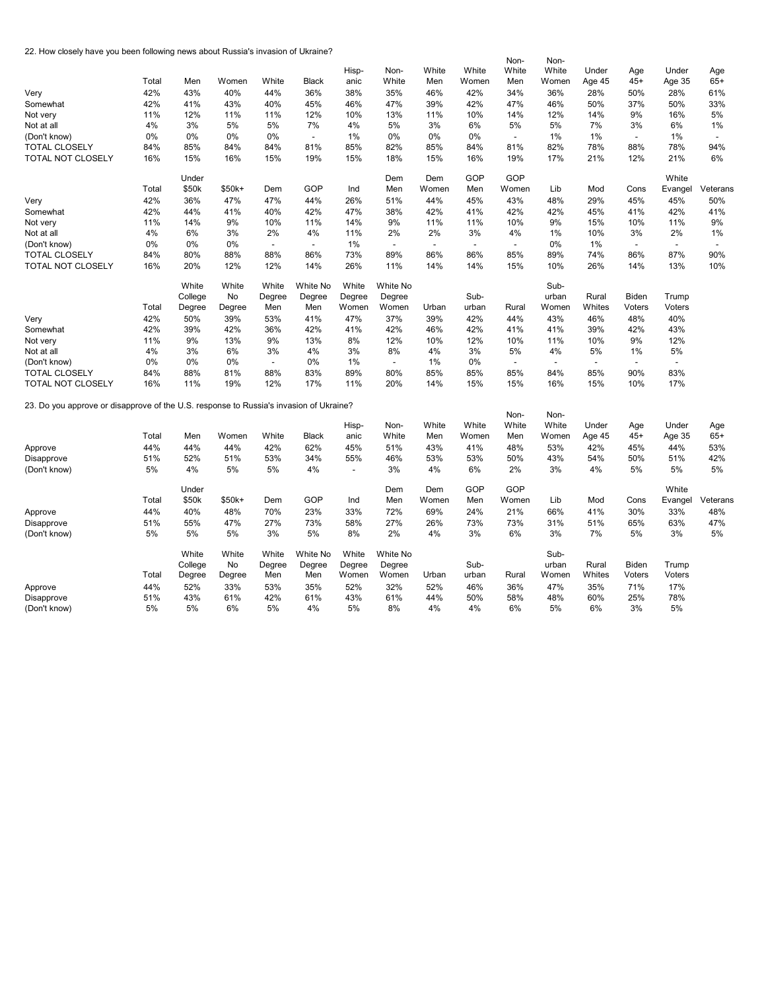22. How closely have you been following news about Russia's invasion of Ukraine?

|                                                                                        |       |         |        |                          |              |                          |                |                          |                          | Non-                     | Non-                     |                |                |                |                |
|----------------------------------------------------------------------------------------|-------|---------|--------|--------------------------|--------------|--------------------------|----------------|--------------------------|--------------------------|--------------------------|--------------------------|----------------|----------------|----------------|----------------|
|                                                                                        |       |         |        |                          |              | Hisp-                    | Non-           | White                    | White                    | White                    | White                    | Under          | Age            | Under          | Age            |
|                                                                                        | Total | Men     | Women  | White                    | <b>Black</b> | anic                     | White          | Men                      | Women                    | Men                      | Women                    | Age 45         | $45+$          | Age 35         | $65+$          |
| Very                                                                                   | 42%   | 43%     | 40%    | 44%                      | 36%          | 38%                      | 35%            | 46%                      | 42%                      | 34%                      | 36%                      | 28%            | 50%            | 28%            | 61%            |
| Somewhat                                                                               | 42%   | 41%     | 43%    | 40%                      | 45%          | 46%                      | 47%            | 39%                      | 42%                      | 47%                      | 46%                      | 50%            | 37%            | 50%            | 33%            |
| Not very                                                                               | 11%   | 12%     | 11%    | 11%                      | 12%          | 10%                      | 13%            | 11%                      | 10%                      | 14%                      | 12%                      | 14%            | 9%             | 16%            | 5%             |
|                                                                                        | 4%    | 3%      | 5%     | 5%                       | 7%           | 4%                       | 5%             | 3%                       | 6%                       | 5%                       | 5%                       | 7%             | 3%             | 6%             | 1%             |
| Not at all                                                                             |       |         |        |                          |              |                          |                |                          |                          |                          |                          |                |                |                |                |
| (Don't know)                                                                           | 0%    | 0%      | 0%     | 0%                       | ÷,           | 1%                       | 0%             | 0%                       | 0%                       | $\overline{\phantom{a}}$ | 1%                       | 1%             | $\blacksquare$ | 1%             | $\overline{a}$ |
| <b>TOTAL CLOSELY</b>                                                                   | 84%   | 85%     | 84%    | 84%                      | 81%          | 85%                      | 82%            | 85%                      | 84%                      | 81%                      | 82%                      | 78%            | 88%            | 78%            | 94%            |
| TOTAL NOT CLOSELY                                                                      | 16%   | 15%     | 16%    | 15%                      | 19%          | 15%                      | 18%            | 15%                      | 16%                      | 19%                      | 17%                      | 21%            | 12%            | 21%            | 6%             |
|                                                                                        |       | Under   |        |                          |              |                          | Dem            | Dem                      | GOP                      | GOP                      |                          |                |                | White          |                |
|                                                                                        | Total | \$50k   | \$50k+ | Dem                      | GOP          | Ind                      | Men            | Women                    | Men                      | Women                    | Lib                      | Mod            | Cons           | Evangel        | Veterans       |
| Very                                                                                   | 42%   | 36%     | 47%    | 47%                      | 44%          | 26%                      | 51%            | 44%                      | 45%                      | 43%                      | 48%                      | 29%            | 45%            | 45%            | 50%            |
| Somewhat                                                                               | 42%   | 44%     | 41%    | 40%                      | 42%          | 47%                      | 38%            | 42%                      | 41%                      | 42%                      | 42%                      | 45%            | 41%            | 42%            | 41%            |
| Not very                                                                               | 11%   | 14%     | 9%     | 10%                      | 11%          | 14%                      | 9%             | 11%                      | 11%                      | 10%                      | 9%                       | 15%            | 10%            | 11%            | 9%             |
| Not at all                                                                             | 4%    | 6%      | 3%     | 2%                       | 4%           | 11%                      | 2%             | 2%                       | 3%                       | 4%                       | 1%                       | 10%            | 3%             | 2%             | 1%             |
| (Don't know)                                                                           | 0%    | $0\%$   | 0%     | $\overline{a}$           |              | 1%                       | $\overline{a}$ | $\overline{\phantom{a}}$ | $\overline{\phantom{a}}$ | $\overline{a}$           | 0%                       | 1%             | $\overline{a}$ | $\overline{a}$ | $\overline{a}$ |
| <b>TOTAL CLOSELY</b>                                                                   | 84%   | 80%     | 88%    | 88%                      | 86%          | 73%                      | 89%            | 86%                      | 86%                      | 85%                      | 89%                      | 74%            | 86%            | 87%            | 90%            |
| <b>TOTAL NOT CLOSELY</b>                                                               | 16%   | 20%     | 12%    | 12%                      | 14%          | 26%                      | 11%            | 14%                      | 14%                      | 15%                      | 10%                      | 26%            | 14%            | 13%            | 10%            |
|                                                                                        |       |         |        |                          |              |                          |                |                          |                          |                          |                          |                |                |                |                |
|                                                                                        |       | White   | White  | White                    | White No     | White                    | White No       |                          |                          |                          | Sub-                     |                |                |                |                |
|                                                                                        |       | College | No     | Degree                   | Degree       | Degree                   | Degree         |                          | Sub-                     |                          | urban                    | Rural          | <b>Biden</b>   | Trump          |                |
|                                                                                        | Total | Degree  | Degree | Men                      | Men          | Women                    | Women          | Urban                    | urban                    | Rural                    | Women                    | Whites         | Voters         | Voters         |                |
| Very                                                                                   | 42%   | 50%     | 39%    | 53%                      | 41%          | 47%                      | 37%            | 39%                      | 42%                      | 44%                      | 43%                      | 46%            | 48%            | 40%            |                |
| Somewhat                                                                               | 42%   | 39%     | 42%    | 36%                      | 42%          | 41%                      | 42%            | 46%                      | 42%                      | 41%                      | 41%                      | 39%            | 42%            | 43%            |                |
| Not very                                                                               | 11%   | 9%      | 13%    | 9%                       | 13%          | 8%                       | 12%            | 10%                      | 12%                      | 10%                      | 11%                      | 10%            | 9%             | 12%            |                |
| Not at all                                                                             | 4%    | 3%      | 6%     | 3%                       | 4%           | 3%                       | 8%             | 4%                       | 3%                       | 5%                       | 4%                       | 5%             | 1%             | 5%             |                |
| (Don't know)                                                                           | 0%    | 0%      | 0%     | $\overline{\phantom{a}}$ | 0%           | 1%                       | $\blacksquare$ | 1%                       | 0%                       | $\overline{a}$           | $\overline{\phantom{a}}$ | $\overline{a}$ | $\overline{a}$ | $\overline{a}$ |                |
| <b>TOTAL CLOSELY</b>                                                                   | 84%   | 88%     | 81%    | 88%                      | 83%          | 89%                      | 80%            | 85%                      | 85%                      | 85%                      | 84%                      | 85%            | 90%            | 83%            |                |
| TOTAL NOT CLOSELY                                                                      | 16%   | 11%     | 19%    | 12%                      | 17%          | 11%                      | 20%            | 14%                      | 15%                      | 15%                      | 16%                      | 15%            | 10%            | 17%            |                |
|                                                                                        |       |         |        |                          |              |                          |                |                          |                          |                          |                          |                |                |                |                |
| 23. Do you approve or disapprove of the U.S. response to Russia's invasion of Ukraine? |       |         |        |                          |              |                          |                |                          |                          |                          |                          |                |                |                |                |
|                                                                                        |       |         |        |                          |              |                          |                |                          |                          | Non-                     | Non-                     |                |                |                |                |
|                                                                                        |       |         |        |                          |              | Hisp-                    | Non-           | White                    | White                    | White                    | White                    | Under          | Age            | Under          | Age            |
|                                                                                        | Total | Men     | Women  | White                    | <b>Black</b> | anic                     | White          | Men                      | Women                    | Men                      | Women                    | Age 45         | $45+$          | Age 35         | $65+$          |
| Approve                                                                                | 44%   | 44%     | 44%    | 42%                      | 62%          | 45%                      | 51%            | 43%                      | 41%                      | 48%                      | 53%                      | 42%            | 45%            | 44%            | 53%            |
| Disapprove                                                                             | 51%   | 52%     | 51%    | 53%                      | 34%          | 55%                      | 46%            | 53%                      | 53%                      | 50%                      | 43%                      | 54%            | 50%            | 51%            | 42%            |
| (Don't know)                                                                           | 5%    | 4%      | 5%     | 5%                       | 4%           | $\overline{\phantom{a}}$ | 3%             | 4%                       | 6%                       | 2%                       | 3%                       | 4%             | 5%             | 5%             | 5%             |
|                                                                                        |       | Under   |        |                          |              |                          | Dem            | Dem                      | GOP                      | GOP                      |                          |                |                | White          |                |
|                                                                                        | Total | \$50k   | \$50k+ | Dem                      | GOP          | Ind                      | Men            | Women                    | Men                      | Women                    | Lib                      | Mod            | Cons           | Evangel        | Veterans       |
| Approve                                                                                | 44%   | 40%     | 48%    | 70%                      | 23%          | 33%                      | 72%            | 69%                      | 24%                      | 21%                      | 66%                      | 41%            | 30%            | 33%            | 48%            |
| Disapprove                                                                             | 51%   | 55%     | 47%    | 27%                      | 73%          | 58%                      | 27%            | 26%                      | 73%                      | 73%                      | 31%                      | 51%            | 65%            | 63%            | 47%            |
| (Don't know)                                                                           | 5%    | 5%      | 5%     | 3%                       | 5%           | 8%                       | 2%             | 4%                       | 3%                       | 6%                       | 3%                       | 7%             | 5%             | 3%             | 5%             |
|                                                                                        |       |         |        |                          |              |                          |                |                          |                          |                          |                          |                |                |                |                |
|                                                                                        |       | White   | White  | White                    | White No     | White                    | White No       |                          |                          |                          | Sub-                     |                |                |                |                |
|                                                                                        |       | College | No     | Degree                   | Degree       | Degree                   | Degree         |                          | Sub-                     |                          | urban                    | Rural          | Biden          | Trump          |                |
|                                                                                        | Total | Degree  | Degree | Men                      | Men          | Women                    | Women          | Urban                    | urban                    | Rural                    | Women                    | Whites         | Voters         | Voters         |                |
| Approve                                                                                | 44%   | 52%     | 33%    | 53%                      | 35%          | 52%                      | 32%            | 52%                      | 46%                      | 36%                      | 47%                      | 35%            | 71%            | 17%            |                |
| Disapprove                                                                             | 51%   | 43%     | 61%    | 42%                      | 61%          | 43%                      | 61%            | 44%                      | 50%                      | 58%                      | 48%                      | 60%            | 25%            | 78%            |                |
| (Don't know)                                                                           | 5%    | 5%      | 6%     | 5%                       | 4%           | 5%                       | 8%             | 4%                       | 4%                       | 6%                       | 5%                       | 6%             | 3%             | 5%             |                |
|                                                                                        |       |         |        |                          |              |                          |                |                          |                          |                          |                          |                |                |                |                |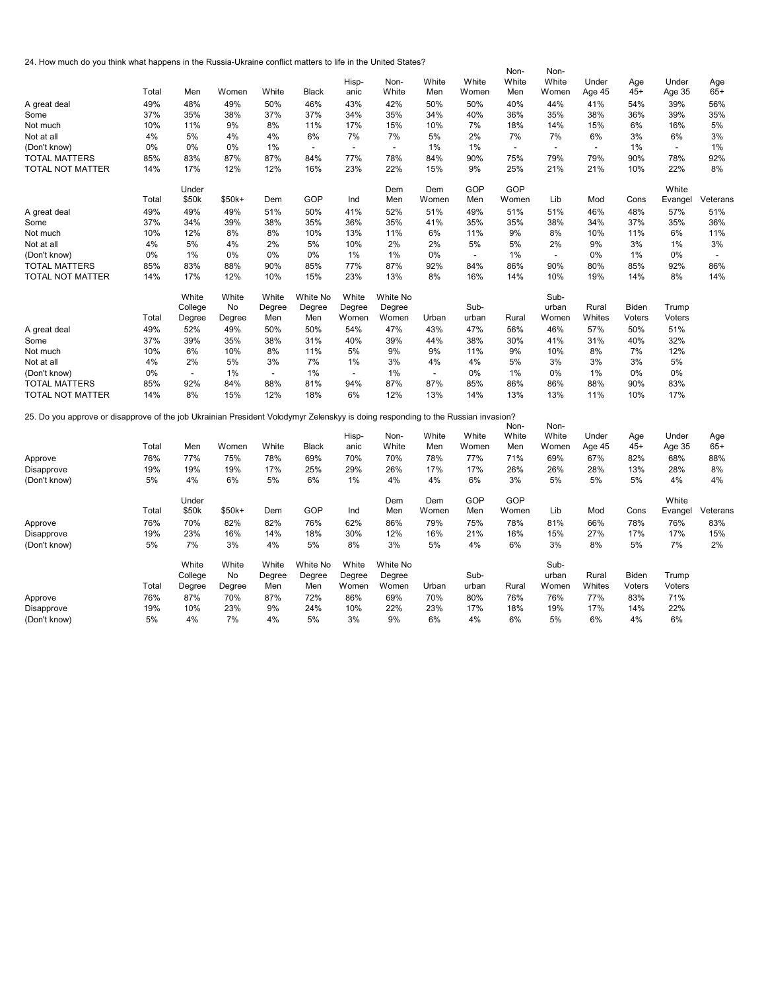24. How much do you think what happens in the Russia-Ukraine conflict matters to life in the United States?

|                                                                                                                                  |       |                          |        |                          |                          |                          |                          |                          |                          | Non-                     | Non-                     |                          |              |                          |          |
|----------------------------------------------------------------------------------------------------------------------------------|-------|--------------------------|--------|--------------------------|--------------------------|--------------------------|--------------------------|--------------------------|--------------------------|--------------------------|--------------------------|--------------------------|--------------|--------------------------|----------|
|                                                                                                                                  |       |                          |        |                          |                          | Hisp-                    | Non-                     | White                    | White                    | White                    | White                    | Under                    | Age          | Under                    | Age      |
|                                                                                                                                  | Total | Men                      | Women  | White                    | Black                    | anic                     | White                    | Men                      | Women                    | Men                      | Women                    | Age 45                   | $45+$        | Age 35                   | $65+$    |
| A great deal                                                                                                                     | 49%   | 48%                      | 49%    | 50%                      | 46%                      | 43%                      | 42%                      | 50%                      | 50%                      | 40%                      | 44%                      | 41%                      | 54%          | 39%                      | 56%      |
| Some                                                                                                                             | 37%   | 35%                      | 38%    | 37%                      | 37%                      | 34%                      | 35%                      | 34%                      | 40%                      | 36%                      | 35%                      | 38%                      | 36%          | 39%                      | 35%      |
| Not much                                                                                                                         | 10%   | 11%                      | 9%     | 8%                       | 11%                      | 17%                      | 15%                      | 10%                      | 7%                       | 18%                      | 14%                      | 15%                      | 6%           | 16%                      | 5%       |
| Not at all                                                                                                                       | 4%    | 5%                       | 4%     | 4%                       | 6%                       | 7%                       | 7%                       | 5%                       | 2%                       | 7%                       | 7%                       | 6%                       | 3%           | 6%                       | 3%       |
| (Don't know)                                                                                                                     | 0%    | 0%                       | 0%     | 1%                       | $\overline{\phantom{a}}$ | $\overline{\phantom{a}}$ | $\overline{\phantom{a}}$ | 1%                       | 1%                       | $\overline{\phantom{a}}$ | $\overline{\phantom{a}}$ | $\overline{\phantom{a}}$ | 1%           | $\overline{\phantom{a}}$ | 1%       |
| <b>TOTAL MATTERS</b>                                                                                                             | 85%   | 83%                      | 87%    | 87%                      | 84%                      | 77%                      | 78%                      | 84%                      | 90%                      | 75%                      | 79%                      | 79%                      | 90%          | 78%                      | 92%      |
| <b>TOTAL NOT MATTER</b>                                                                                                          | 14%   | 17%                      | 12%    | 12%                      | 16%                      | 23%                      | 22%                      | 15%                      | 9%                       | 25%                      | 21%                      | 21%                      | 10%          | 22%                      | 8%       |
|                                                                                                                                  |       | Under                    |        |                          |                          |                          | Dem                      | Dem                      | GOP                      | GOP                      |                          |                          |              | White                    |          |
|                                                                                                                                  | Total | \$50k                    | \$50k+ | Dem                      | GOP                      | Ind                      | Men                      | Women                    | Men                      | Women                    | Lib                      | Mod                      | Cons         | Evangel                  | Veterans |
| A great deal                                                                                                                     | 49%   | 49%                      | 49%    | 51%                      | 50%                      | 41%                      | 52%                      | 51%                      | 49%                      | 51%                      | 51%                      | 46%                      | 48%          | 57%                      | 51%      |
| Some                                                                                                                             | 37%   | 34%                      | 39%    | 38%                      | 35%                      | 36%                      | 35%                      | 41%                      | 35%                      | 35%                      | 38%                      | 34%                      | 37%          | 35%                      | 36%      |
| Not much                                                                                                                         | 10%   | 12%                      | 8%     | 8%                       | 10%                      | 13%                      | 11%                      | 6%                       | 11%                      | 9%                       | 8%                       | 10%                      | 11%          | 6%                       | 11%      |
| Not at all                                                                                                                       | 4%    | 5%                       | 4%     | 2%                       | 5%                       | 10%                      | 2%                       | 2%                       | 5%                       | 5%                       | 2%                       | 9%                       | 3%           | 1%                       | 3%       |
| (Don't know)                                                                                                                     | 0%    | 1%                       | 0%     | 0%                       | 0%                       | $1\%$                    | 1%                       | 0%                       | $\overline{\phantom{a}}$ | 1%                       | $\overline{\phantom{a}}$ | 0%                       | 1%           | 0%                       |          |
| <b>TOTAL MATTERS</b>                                                                                                             | 85%   | 83%                      | 88%    | 90%                      | 85%                      | 77%                      | 87%                      | 92%                      | 84%                      | 86%                      | 90%                      | 80%                      | 85%          | 92%                      | 86%      |
| TOTAL NOT MATTER                                                                                                                 | 14%   | 17%                      | 12%    | 10%                      | 15%                      | 23%                      | 13%                      | 8%                       | 16%                      | 14%                      | 10%                      | 19%                      | 14%          | 8%                       | 14%      |
|                                                                                                                                  |       | White                    | White  | White                    | White No                 | White                    | White No                 |                          |                          |                          | Sub-                     |                          |              |                          |          |
|                                                                                                                                  |       | College                  | No     | Degree                   | Degree                   | Degree                   | Degree                   |                          | Sub-                     |                          | urban                    | Rural                    | <b>Biden</b> | Trump                    |          |
|                                                                                                                                  | Total | Degree                   | Degree | Men                      | Men                      | Women                    | Women                    | Urban                    | urban                    | Rural                    | Women                    | Whites                   | Voters       | Voters                   |          |
| A great deal                                                                                                                     | 49%   | 52%                      | 49%    | 50%                      | 50%                      | 54%                      | 47%                      | 43%                      | 47%                      | 56%                      | 46%                      | 57%                      | 50%          | 51%                      |          |
| Some                                                                                                                             | 37%   | 39%                      | 35%    | 38%                      | 31%                      | 40%                      | 39%                      | 44%                      | 38%                      | 30%                      | 41%                      | 31%                      | 40%          | 32%                      |          |
| Not much                                                                                                                         | 10%   | 6%                       | 10%    | 8%                       | 11%                      | 5%                       | 9%                       | 9%                       | 11%                      | 9%                       | 10%                      | 8%                       | 7%           | 12%                      |          |
| Not at all                                                                                                                       | 4%    | 2%                       | 5%     | 3%                       | 7%                       | 1%                       | 3%                       | 4%                       | 4%                       | 5%                       | 3%                       | 3%                       | 3%           | 5%                       |          |
| (Don't know)                                                                                                                     | 0%    | $\overline{\phantom{a}}$ | 1%     | $\overline{\phantom{a}}$ | 1%                       | $\overline{\phantom{a}}$ | 1%                       | $\overline{\phantom{a}}$ | 0%                       | 1%                       | 0%                       | 1%                       | 0%           | 0%                       |          |
| <b>TOTAL MATTERS</b>                                                                                                             | 85%   | 92%                      | 84%    | 88%                      | 81%                      | 94%                      | 87%                      | 87%                      | 85%                      | 86%                      | 86%                      | 88%                      | 90%          | 83%                      |          |
| TOTAL NOT MATTER                                                                                                                 | 14%   | 8%                       | 15%    | 12%                      | 18%                      | 6%                       | 12%                      | 13%                      | 14%                      | 13%                      | 13%                      | 11%                      | 10%          | 17%                      |          |
| 25. Do you approve or disapprove of the job Ukrainian President Volodymyr Zelenskyy is doing responding to the Russian invasion? |       |                          |        |                          |                          |                          |                          |                          |                          |                          |                          |                          |              |                          |          |
|                                                                                                                                  |       |                          |        |                          |                          | Hisp-                    | Non-                     | White                    | White                    | Non-<br>White            | Non-<br>White            | Under                    | Age          | Under                    | Age      |
|                                                                                                                                  |       |                          |        |                          |                          |                          |                          |                          |                          |                          |                          |                          |              |                          |          |

|              |       |         |         |        |              | .      | .        |       | .     | .     | .     | -----  | ب س    | -----   | ب س      |
|--------------|-------|---------|---------|--------|--------------|--------|----------|-------|-------|-------|-------|--------|--------|---------|----------|
|              | Total | Men     | Women   | White  | <b>Black</b> | anic   | White    | Men   | Women | Men   | Women | Age 45 | $45+$  | Age 35  | $65+$    |
| Approve      | 76%   | 77%     | 75%     | 78%    | 69%          | 70%    | 70%      | 78%   | 77%   | 71%   | 69%   | 67%    | 82%    | 68%     | 88%      |
| Disapprove   | 19%   | 19%     | 19%     | 17%    | 25%          | 29%    | 26%      | 17%   | 17%   | 26%   | 26%   | 28%    | 13%    | 28%     | 8%       |
| (Don't know) | 5%    | 4%      | 6%      | 5%     | 6%           | 1%     | 4%       | 4%    | 6%    | 3%    | 5%    | 5%     | 5%     | 4%      | 4%       |
|              |       | Under   |         |        |              |        | Dem      | Dem   | GOP   | GOP   |       |        |        | White   |          |
|              | Total | \$50k   | $$50k+$ | Dem    | GOP          | Ind    | Men      | Women | Men   | Women | Lib   | Mod    | Cons   | Evangel | Veterans |
| Approve      | 76%   | 70%     | 82%     | 82%    | 76%          | 62%    | 86%      | 79%   | 75%   | 78%   | 81%   | 66%    | 78%    | 76%     | 83%      |
| Disapprove   | 19%   | 23%     | 16%     | 14%    | 18%          | 30%    | 12%      | 16%   | 21%   | 16%   | 15%   | 27%    | 17%    | 17%     | 15%      |
| (Don't know) | 5%    | 7%      | 3%      | 4%     | 5%           | 8%     | 3%       | 5%    | 4%    | 6%    | 3%    | 8%     | 5%     | 7%      | 2%       |
|              |       | White   | White   | White  | White No     | White  | White No |       |       |       | Sub-  |        |        |         |          |
|              |       | College | No      | Degree | Degree       | Degree | Degree   |       | Sub-  |       | urban | Rural  | Biden  | Trump   |          |
|              | Total | Degree  | Degree  | Men    | Men          | Women  | Women    | Urban | urban | Rural | Women | Whites | Voters | Voters  |          |
| Approve      | 76%   | 87%     | 70%     | 87%    | 72%          | 86%    | 69%      | 70%   | 80%   | 76%   | 76%   | 77%    | 83%    | 71%     |          |
| Disapprove   | 19%   | 10%     | 23%     | 9%     | 24%          | 10%    | 22%      | 23%   | 17%   | 18%   | 19%   | 17%    | 14%    | 22%     |          |
| (Don't know) | 5%    | 4%      | 7%      | 4%     | 5%           | 3%     | 9%       | 6%    | 4%    | 6%    | 5%    | 6%     | 4%     | 6%      |          |
|              |       |         |         |        |              |        |          |       |       |       |       |        |        |         |          |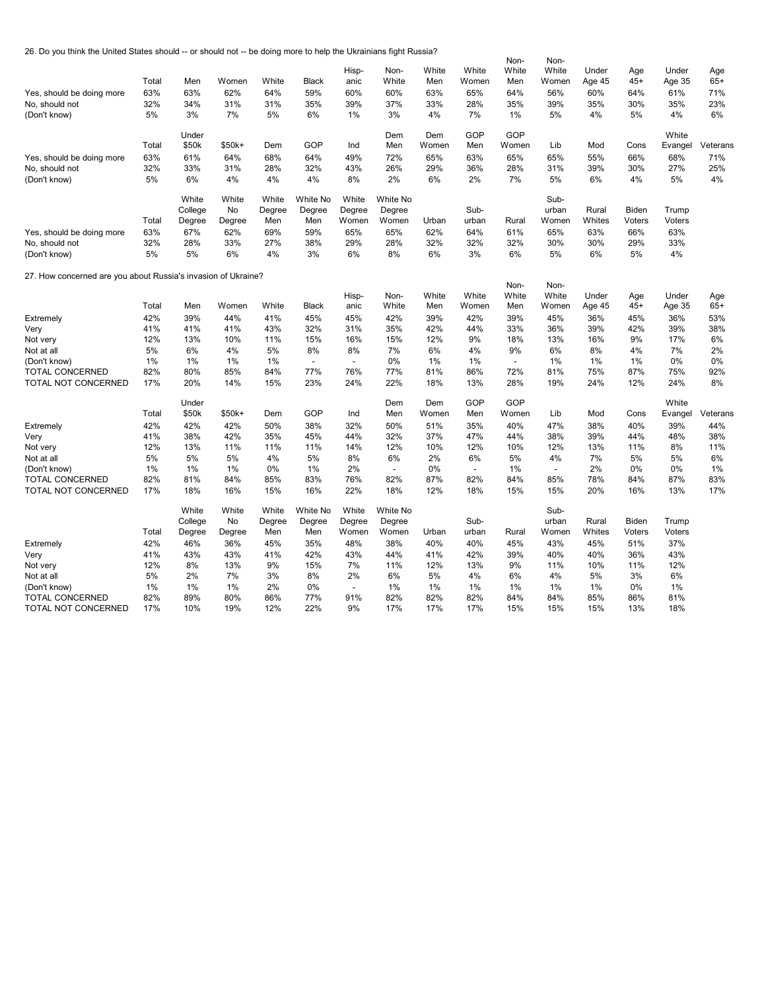26. Do you think the United States should -- or should not -- be doing more to help the Ukrainians fight Russia?

| Yes, should be doing more<br>No, should not<br>(Don't know)   | Total<br>63%<br>32%<br>5% | Men<br>63%<br>34%<br>3%           | Women<br>62%<br>31%<br>7%    | White<br>64%<br>31%<br>5%     | <b>Black</b><br>59%<br>35%<br>6% | Hisp-<br>anic<br>60%<br>39%<br>1% | Non-<br>White<br>60%<br>37%<br>3%  | White<br>Men<br>63%<br>33%<br>4% | White<br>Women<br>65%<br>28%<br>7% | Non-<br>White<br>Men<br>64%<br>35%<br>1% | Non-<br>White<br>Women<br>56%<br>39%<br>5% | Under<br>Age 45<br>60%<br>35%<br>4% | Age<br>$45+$<br>64%<br>30%<br>5% | Under<br>Age 35<br>61%<br>35%<br>4% | Age<br>$65+$<br>71%<br>23%<br>6% |
|---------------------------------------------------------------|---------------------------|-----------------------------------|------------------------------|-------------------------------|----------------------------------|-----------------------------------|------------------------------------|----------------------------------|------------------------------------|------------------------------------------|--------------------------------------------|-------------------------------------|----------------------------------|-------------------------------------|----------------------------------|
|                                                               | Total                     | Under<br>\$50k                    | \$50k+                       | Dem                           | GOP                              | Ind                               | Dem<br>Men                         | Dem<br>Women                     | GOP<br>Men                         | GOP<br>Women                             | Lib                                        | Mod                                 | Cons                             | White                               |                                  |
|                                                               |                           |                                   |                              |                               |                                  |                                   |                                    |                                  |                                    |                                          |                                            |                                     |                                  | Evangel                             | Veterans                         |
| Yes, should be doing more                                     | 63%                       | 61%                               | 64%                          | 68%                           | 64%                              | 49%                               | 72%                                | 65%                              | 63%                                | 65%                                      | 65%                                        | 55%                                 | 66%                              | 68%                                 | 71%                              |
| No, should not                                                | 32%                       | 33%                               | 31%                          | 28%                           | 32%                              | 43%                               | 26%                                | 29%                              | 36%                                | 28%                                      | 31%                                        | 39%                                 | 30%                              | 27%                                 | 25%                              |
| (Don't know)                                                  | 5%                        | 6%                                | 4%                           | 4%                            | 4%                               | 8%                                | 2%                                 | 6%                               | 2%                                 | 7%                                       | 5%                                         | 6%                                  | 4%                               | 5%                                  | 4%                               |
| Yes, should be doing more                                     | Total<br>63%              | White<br>College<br>Degree<br>67% | White<br>No<br>Degree<br>62% | White<br>Degree<br>Men<br>69% | White No<br>Degree<br>Men<br>59% | White<br>Degree<br>Women<br>65%   | White No<br>Degree<br>Women<br>65% | Urban<br>62%                     | Sub-<br>urban<br>64%               | Rural<br>61%                             | Sub-<br>urban<br>Women<br>65%              | Rural<br>Whites<br>63%              | Biden<br>Voters<br>66%           | Trump<br>Voters<br>63%              |                                  |
| No, should not                                                | 32%                       | 28%                               | 33%                          | 27%                           | 38%                              | 29%                               | 28%                                | 32%                              | 32%                                | 32%                                      | 30%                                        | 30%                                 | 29%                              | 33%                                 |                                  |
| (Don't know)                                                  | 5%                        | 5%                                | 6%                           | 4%                            | 3%                               | 6%                                | 8%                                 | 6%                               | 3%                                 | 6%                                       | 5%                                         | 6%                                  | 5%                               | 4%                                  |                                  |
| 27. How concerned are you about Russia's invasion of Ukraine? |                           |                                   |                              |                               |                                  |                                   |                                    |                                  |                                    | Non-                                     | Non-                                       |                                     |                                  |                                     |                                  |
|                                                               | Total                     | Men                               | Women                        | White                         | <b>Black</b>                     | Hisp-<br>anic                     | Non-<br>White                      | White<br>Men                     | White<br>Women                     | White<br>Men                             | White<br>Women                             | Under                               | Age<br>$45+$                     | Under                               | Age<br>$65+$                     |
| Extremely                                                     | 42%                       | 39%                               | 44%                          | 41%                           | 45%                              | 45%                               | 42%                                | 39%                              | 42%                                | 39%                                      | 45%                                        | Age 45<br>36%                       | 45%                              | Age 35<br>36%                       | 53%                              |
|                                                               | 41%                       | 41%                               | 41%                          | 43%                           | 32%                              | 31%                               | 35%                                | 42%                              | 44%                                | 33%                                      | 36%                                        | 39%                                 | 42%                              | 39%                                 | 38%                              |
| Very<br>Not very                                              | 12%                       | 13%                               | 10%                          | 11%                           | 15%                              | 16%                               | 15%                                | 12%                              | 9%                                 | 18%                                      | 13%                                        | 16%                                 | 9%                               | 17%                                 | 6%                               |
| Not at all                                                    | 5%                        | 6%                                | 4%                           | 5%                            | 8%                               | 8%                                | 7%                                 | 6%                               | 4%                                 | 9%                                       | 6%                                         | 8%                                  | 4%                               | 7%                                  | 2%                               |
| (Don't know)                                                  | 1%                        | 1%                                | 1%                           | 1%                            | $\overline{a}$                   | $\overline{a}$                    | 0%                                 | 1%                               | 1%                                 | $\overline{\phantom{a}}$                 | 1%                                         | 1%                                  | 1%                               | 0%                                  | 0%                               |
| TOTAL CONCERNED                                               | 82%                       | 80%                               | 85%                          | 84%                           | 77%                              | 76%                               | 77%                                | 81%                              | 86%                                | 72%                                      | 81%                                        | 75%                                 | 87%                              | 75%                                 | 92%                              |
| TOTAL NOT CONCERNED                                           | 17%                       | 20%                               | 14%                          | 15%                           | 23%                              | 24%                               | 22%                                | 18%                              | 13%                                | 28%                                      | 19%                                        | 24%                                 | 12%                              | 24%                                 | 8%                               |
|                                                               |                           |                                   |                              |                               |                                  |                                   |                                    |                                  |                                    |                                          |                                            |                                     |                                  |                                     |                                  |
|                                                               | Total                     | Under<br>\$50k                    | \$50k+                       | Dem                           | GOP                              | Ind                               | Dem<br>Men                         | Dem<br>Women                     | GOP<br>Men                         | GOP<br>Women                             | Lib                                        | Mod                                 | Cons                             | White                               | Veterans                         |
|                                                               |                           |                                   |                              | 50%                           | 38%                              |                                   | 50%                                | 51%                              | 35%                                |                                          | 47%                                        |                                     | 40%                              | Evangel                             |                                  |
| Extremely                                                     | 42%                       | 42%<br>38%                        | 42%<br>42%                   | 35%                           |                                  | 32%                               |                                    | 37%                              | 47%                                | 40%                                      | 38%                                        | 38%<br>39%                          |                                  | 39%                                 | 44%                              |
| Very<br>Not very                                              | 41%<br>12%                | 13%                               | 11%                          | 11%                           | 45%<br>11%                       | 44%<br>14%                        | 32%<br>12%                         | 10%                              | 12%                                | 44%<br>10%                               | 12%                                        | 13%                                 | 44%<br>11%                       | 48%<br>8%                           | 38%<br>11%                       |
| Not at all                                                    | 5%                        | 5%                                | 5%                           | 4%                            | 5%                               | 8%                                | 6%                                 | 2%                               | 6%                                 | 5%                                       | 4%                                         | 7%                                  | 5%                               | 5%                                  | 6%                               |
| (Don't know)                                                  | 1%                        | 1%                                | 1%                           | 0%                            | 1%                               | 2%                                | $\blacksquare$                     | 0%                               | $\blacksquare$                     | $1\%$                                    | $\overline{\phantom{a}}$                   | 2%                                  | 0%                               | 0%                                  | 1%                               |
| TOTAL CONCERNED                                               | 82%                       | 81%                               | 84%                          | 85%                           | 83%                              | 76%                               | 82%                                | 87%                              | 82%                                | 84%                                      | 85%                                        | 78%                                 | 84%                              | 87%                                 | 83%                              |
| TOTAL NOT CONCERNED                                           | 17%                       | 18%                               | 16%                          | 15%                           | 16%                              | 22%                               | 18%                                | 12%                              | 18%                                | 15%                                      | 15%                                        | 20%                                 | 16%                              | 13%                                 | 17%                              |
|                                                               |                           | White                             | White                        | White                         | White No                         | White                             | White No                           |                                  |                                    |                                          | Sub-                                       |                                     |                                  |                                     |                                  |
|                                                               |                           | College                           | No                           | Degree                        | Degree                           | Degree                            | Degree                             |                                  | Sub-                               |                                          | urban                                      | Rural                               | Biden                            | Trump                               |                                  |
|                                                               | Total                     | Degree                            | Degree                       | Men                           | Men                              | Women                             | Women                              | Urban                            | urban                              | Rural                                    | Women                                      | Whites                              | Voters                           | Voters                              |                                  |
| Extremely                                                     | 42%                       | 46%                               | 36%                          | 45%                           | 35%                              | 48%                               | 38%                                | 40%                              | 40%                                | 45%                                      | 43%                                        | 45%                                 | 51%                              | 37%                                 |                                  |
| Very                                                          | 41%                       | 43%                               | 43%                          | 41%                           | 42%                              | 43%                               | 44%                                | 41%                              | 42%                                | 39%                                      | 40%                                        | 40%                                 | 36%                              | 43%                                 |                                  |
| Not very                                                      | 12%                       | 8%                                | 13%                          | 9%                            | 15%                              | 7%                                | 11%                                | 12%                              | 13%                                | 9%                                       | 11%                                        | 10%                                 | 11%                              | 12%                                 |                                  |
| Not at all                                                    | 5%                        | 2%                                | 7%                           | 3%                            | 8%                               | 2%                                | 6%                                 | 5%                               | 4%                                 | 6%<br>1%                                 | 4%                                         | 5%                                  | 3%                               | 6%                                  |                                  |
| (Don't know)<br><b>TOTAL CONCERNED</b>                        | 1%<br>82%                 | 1%<br>89%                         | 1%<br>80%                    | 2%<br>86%                     | 0%<br>77%                        | $\blacksquare$<br>91%             | 1%<br>82%                          | 1%<br>82%                        | 1%<br>82%                          | 84%                                      | 1%<br>84%                                  | 1%<br>85%                           | 0%<br>86%                        | 1%<br>81%                           |                                  |
| TOTAL NOT CONCERNED                                           | 17%                       | 10%                               | 19%                          | 12%                           | 22%                              | 9%                                | 17%                                | 17%                              | 17%                                | 15%                                      | 15%                                        | 15%                                 | 13%                              | 18%                                 |                                  |
|                                                               |                           |                                   |                              |                               |                                  |                                   |                                    |                                  |                                    |                                          |                                            |                                     |                                  |                                     |                                  |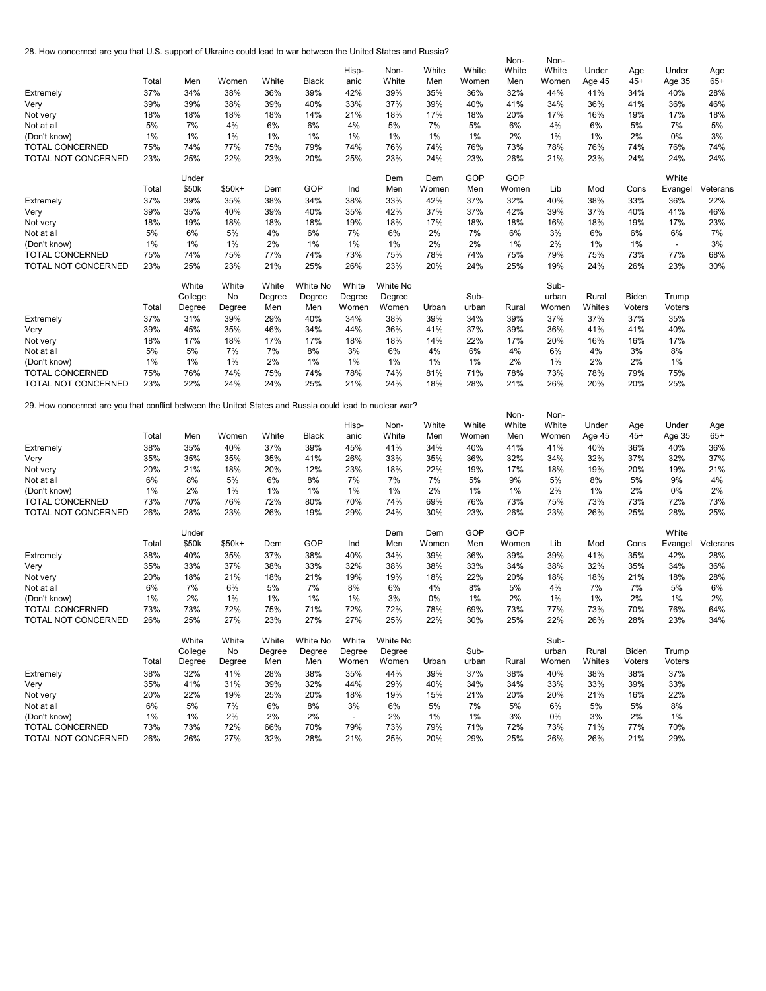28. How concerned are you that U.S. support of Ukraine could lead to war between the United States and Russia?

|                                                                                                         |            |            |            |            |            |                          |            |            |            | Non-       | Non-       |            |            |                |          |
|---------------------------------------------------------------------------------------------------------|------------|------------|------------|------------|------------|--------------------------|------------|------------|------------|------------|------------|------------|------------|----------------|----------|
|                                                                                                         |            |            |            |            |            | Hisp-                    | Non-       | White      | White      | White      | White      | Under      | Age        | Under          | Age      |
|                                                                                                         | Total      | Men        | Women      | White      | Black      | anic                     | White      | Men        | Women      | Men        | Women      | Age 45     | 45+        | Age 35         | $65+$    |
|                                                                                                         |            |            |            |            |            |                          |            |            |            |            |            |            |            |                |          |
| Extremely                                                                                               | 37%        | 34%        | 38%        | 36%        | 39%        | 42%                      | 39%        | 35%        | 36%        | 32%        | 44%        | 41%        | 34%        | 40%            | 28%      |
| Very                                                                                                    | 39%        | 39%        | 38%        | 39%        | 40%        | 33%                      | 37%        | 39%        | 40%        | 41%        | 34%        | 36%        | 41%        | 36%            | 46%      |
| Not very                                                                                                | 18%        | 18%        | 18%        | 18%        | 14%        | 21%                      | 18%        | 17%        | 18%        | 20%        | 17%        | 16%        | 19%        | 17%            | 18%      |
| Not at all                                                                                              | 5%         | 7%         | 4%         | 6%         | 6%         | 4%                       | 5%         | 7%         | 5%         | 6%         | 4%         | 6%         | 5%         | 7%             | 5%       |
| (Don't know)                                                                                            | 1%         | 1%         | $1\%$      | 1%         | 1%         | 1%                       | 1%         | 1%         | 1%         | 2%         | 1%         | 1%         | 2%         | 0%             | 3%       |
| <b>TOTAL CONCERNED</b>                                                                                  | 75%        | 74%        | 77%        | 75%        | 79%        | 74%                      | 76%        | 74%        | 76%        | 73%        | 78%        | 76%        | 74%        | 76%            | 74%      |
|                                                                                                         |            |            |            |            |            |                          |            |            |            |            |            |            |            |                |          |
| TOTAL NOT CONCERNED                                                                                     | 23%        | 25%        | 22%        | 23%        | 20%        | 25%                      | 23%        | 24%        | 23%        | 26%        | 21%        | 23%        | 24%        | 24%            | 24%      |
|                                                                                                         |            |            |            |            |            |                          |            |            |            |            |            |            |            |                |          |
|                                                                                                         |            | Under      |            |            |            |                          | Dem        | Dem        | GOP        | GOP        |            |            |            | White          |          |
|                                                                                                         | Total      | \$50k      | $$50k+$    | Dem        | GOP        | Ind                      | Men        | Women      | Men        | Women      | Lib        | Mod        | Cons       | Evangel        | Veterans |
| Extremely                                                                                               | 37%        | 39%        | 35%        | 38%        | 34%        | 38%                      | 33%        | 42%        | 37%        | 32%        | 40%        | 38%        | 33%        | 36%            | 22%      |
| Very                                                                                                    | 39%        | 35%        | 40%        | 39%        | 40%        | 35%                      | 42%        | 37%        | 37%        | 42%        | 39%        | 37%        | 40%        | 41%            | 46%      |
| Not very                                                                                                | 18%        | 19%        | 18%        | 18%        | 18%        | 19%                      | 18%        | 17%        | 18%        | 18%        | 16%        | 18%        | 19%        | 17%            | 23%      |
|                                                                                                         |            | 6%         | 5%         |            |            |                          |            |            |            | 6%         |            |            |            |                | 7%       |
| Not at all                                                                                              | 5%         |            |            | 4%         | 6%         | 7%                       | 6%         | 2%         | 7%         |            | 3%         | 6%         | 6%         | 6%             |          |
| (Don't know)                                                                                            | 1%         | 1%         | $1\%$      | 2%         | 1%         | 1%                       | 1%         | 2%         | 2%         | 1%         | 2%         | 1%         | 1%         | $\blacksquare$ | 3%       |
| TOTAL CONCERNED                                                                                         | 75%        | 74%        | 75%        | 77%        | 74%        | 73%                      | 75%        | 78%        | 74%        | 75%        | 79%        | 75%        | 73%        | 77%            | 68%      |
| TOTAL NOT CONCERNED                                                                                     | 23%        | 25%        | 23%        | 21%        | 25%        | 26%                      | 23%        | 20%        | 24%        | 25%        | 19%        | 24%        | 26%        | 23%            | 30%      |
|                                                                                                         |            |            |            |            |            |                          |            |            |            |            |            |            |            |                |          |
|                                                                                                         |            | White      | White      | White      | White No   | White                    | White No   |            |            |            | Sub-       |            |            |                |          |
|                                                                                                         |            | College    | No         | Degree     | Degree     | Degree                   | Degree     |            | Sub-       |            | urban      | Rural      | Biden      | Trump          |          |
|                                                                                                         | Total      | Degree     | Degree     | Men        | Men        | Women                    | Women      | Urban      | urban      | Rural      | Women      | Whites     | Voters     | Voters         |          |
|                                                                                                         | 37%        |            | 39%        |            |            |                          |            | 39%        |            |            | 37%        | 37%        |            |                |          |
| Extremely                                                                                               |            | 31%        |            | 29%        | 40%        | 34%                      | 38%        |            | 34%        | 39%        |            |            | 37%        | 35%            |          |
| Very                                                                                                    | 39%        | 45%        | 35%        | 46%        | 34%        | 44%                      | 36%        | 41%        | 37%        | 39%        | 36%        | 41%        | 41%        | 40%            |          |
| Not very                                                                                                | 18%        | 17%        | 18%        | 17%        | 17%        | 18%                      | 18%        | 14%        | 22%        | 17%        | 20%        | 16%        | 16%        | 17%            |          |
| Not at all                                                                                              | 5%         | 5%         | 7%         | 7%         | 8%         | 3%                       | 6%         | 4%         | 6%         | 4%         | 6%         | 4%         | 3%         | 8%             |          |
| (Don't know)                                                                                            | 1%         | 1%         | $1\%$      | 2%         | 1%         | 1%                       | 1%         | 1%         | 1%         | 2%         | 1%         | 2%         | 2%         | 1%             |          |
| <b>TOTAL CONCERNED</b>                                                                                  | 75%        | 76%        | 74%        | 75%        | 74%        | 78%                      | 74%        | 81%        | 71%        | 78%        | 73%        | 78%        | 79%        | 75%            |          |
| TOTAL NOT CONCERNED                                                                                     | 23%        | 22%        | 24%        | 24%        | 25%        | 21%                      | 24%        | 18%        | 28%        | 21%        | 26%        | 20%        | 20%        | 25%            |          |
|                                                                                                         |            |            |            |            |            |                          |            |            |            |            |            |            |            |                |          |
|                                                                                                         |            |            |            |            |            |                          |            |            |            |            |            |            |            |                |          |
| 29. How concerned are you that conflict between the United States and Russia could lead to nuclear war? |            |            |            |            |            |                          |            |            |            |            |            |            |            |                |          |
|                                                                                                         |            |            |            |            |            |                          |            |            |            | Non-       | Non-       |            |            |                |          |
|                                                                                                         |            |            |            |            |            | Hisp-                    | Non-       | White      | White      | White      | White      | Under      | Age        | Under          | Age      |
|                                                                                                         | Total      | Men        | Women      | White      | Black      | anic                     | White      | Men        | Women      | Men        | Women      | Age 45     | 45+        | Age 35         | $65+$    |
| Extremely                                                                                               | 38%        | 35%        | 40%        | 37%        | 39%        | 45%                      | 41%        | 34%        | 40%        | 41%        | 41%        | 40%        | 36%        | 40%            | 36%      |
| Very                                                                                                    | 35%        | 35%        | 35%        | 35%        | 41%        | 26%                      | 33%        | 35%        | 36%        | 32%        | 34%        | 32%        | 37%        | 32%            | 37%      |
| Not very                                                                                                | 20%        | 21%        | 18%        | 20%        | 12%        | 23%                      | 18%        | 22%        | 19%        | 17%        | 18%        | 19%        | 20%        | 19%            | 21%      |
|                                                                                                         |            |            |            |            |            |                          |            |            |            |            |            |            |            |                |          |
| Not at all                                                                                              | 6%         | 8%         | 5%         | 6%         | 8%         | 7%                       | 7%         | 7%         | 5%         | 9%         | 5%         | 8%         | 5%         | 9%             | 4%       |
| (Don't know)                                                                                            | 1%         | 2%         | $1\%$      | 1%         | 1%         | 1%                       | 1%         | 2%         | 1%         | 1%         | 2%         | 1%         | 2%         | 0%             | 2%       |
| TOTAL CONCERNED                                                                                         | 73%        | 70%        | 76%        | 72%        | 80%        | 70%                      | 74%        | 69%        | 76%        | 73%        | 75%        | 73%        | 73%        | 72%            | 73%      |
| TOTAL NOT CONCERNED                                                                                     | 26%        | 28%        | 23%        | 26%        | 19%        | 29%                      | 24%        | 30%        | 23%        | 26%        | 23%        | 26%        | 25%        | 28%            | 25%      |
|                                                                                                         |            |            |            |            |            |                          |            |            |            |            |            |            |            |                |          |
|                                                                                                         |            | Under      |            |            |            |                          | Dem        | Dem        | GOP        | GOP        |            |            |            | White          |          |
|                                                                                                         | Total      | \$50k      | $$50k+$    | Dem        | GOP        | Ind                      | Men        | Women      | Men        | Women      | Lib        | Mod        | Cons       | Evangel        | Veterans |
| Extremely                                                                                               | 38%        | 40%        | 35%        | 37%        | 38%        | 40%                      | 34%        | 39%        | 36%        | 39%        | 39%        | 41%        | 35%        | 42%            | 28%      |
|                                                                                                         | 35%        | 33%        | 37%        | 38%        | 33%        | 32%                      | 38%        | 38%        | 33%        | 34%        | 38%        | 32%        | 35%        | 34%            | 36%      |
| Very                                                                                                    |            |            |            |            |            |                          |            |            |            |            |            |            |            |                |          |
| Not very                                                                                                | 20%        | 18%        | 21%        | 18%        | 21%        | 19%                      | 19%        | 18%        | 22%        | 20%        | 18%        | 18%        | 21%        | 18%            | 28%      |
| Not at all                                                                                              | 6%         | 7%         | 6%         | 5%         | 7%         | 8%                       | 6%         | 4%         | 8%         | 5%         | 4%         | 7%         | 7%         | 5%             | 6%       |
| (Don't know)                                                                                            | 1%         | 2%         | $1\%$      | $1\%$      | 1%         | 1%                       | 3%         | 0%         | 1%         | 2%         | 1%         | 1%         | 2%         | 1%             | 2%       |
| <b>TOTAL CONCERNED</b>                                                                                  | 73%        | 73%        | 72%        | 75%        | 71%        | 72%                      | 72%        | 78%        | 69%        | 73%        | 77%        | 73%        | 70%        | 76%            | 64%      |
| TOTAL NOT CONCERNED                                                                                     | 26%        | 25%        | 27%        | 23%        | 27%        | 27%                      | 25%        | 22%        | 30%        | 25%        | 22%        | 26%        | 28%        | 23%            | 34%      |
|                                                                                                         |            |            |            |            |            |                          |            |            |            |            |            |            |            |                |          |
|                                                                                                         |            | White      | White      | White      | White No   | White                    | White No   |            |            |            | Sub-       |            |            |                |          |
|                                                                                                         |            | College    | No         | Degree     | Degree     | Degree                   | Degree     |            | Sub-       |            | urban      | Rural      | Biden      | Trump          |          |
|                                                                                                         | Total      |            |            | Men        | Men        | Women                    | Women      | Urban      | urban      | Rural      | Women      | Whites     | Voters     | Voters         |          |
|                                                                                                         |            | Degree     | Degree     |            |            |                          |            |            |            |            |            |            |            |                |          |
| Extremely                                                                                               | 38%        | 32%        | 41%        | 28%        | 38%        | 35%                      | 44%        | 39%        | 37%        | 38%        | 40%        | 38%        | 38%        | 37%            |          |
| Very                                                                                                    | 35%        | 41%        | 31%        | 39%        | 32%        | 44%                      | 29%        | 40%        | 34%        | 34%        | 33%        | 33%        | 39%        | 33%            |          |
| Not very                                                                                                | 20%        | 22%        | 19%        | 25%        | 20%        | 18%                      | 19%        | 15%        | 21%        | 20%        | 20%        | 21%        | 16%        | 22%            |          |
| Not at all                                                                                              | 6%         | 5%         | 7%         | 6%         | 8%         | 3%                       | 6%         | 5%         | 7%         | 5%         | 6%         | 5%         | 5%         | 8%             |          |
| (Don't know)                                                                                            | 1%         | 1%         | 2%         | 2%         | 2%         | $\overline{\phantom{a}}$ | 2%         | 1%         | 1%         | 3%         | 0%         | 3%         | 2%         | 1%             |          |
| <b>TOTAL CONCERNED</b>                                                                                  |            |            |            |            |            |                          |            |            |            |            |            |            |            |                |          |
|                                                                                                         |            |            |            |            |            |                          |            |            |            |            |            |            |            |                |          |
| TOTAL NOT CONCERNED                                                                                     | 73%<br>26% | 73%<br>26% | 72%<br>27% | 66%<br>32% | 70%<br>28% | 79%<br>21%               | 73%<br>25% | 79%<br>20% | 71%<br>29% | 72%<br>25% | 73%<br>26% | 71%<br>26% | 77%<br>21% | 70%<br>29%     |          |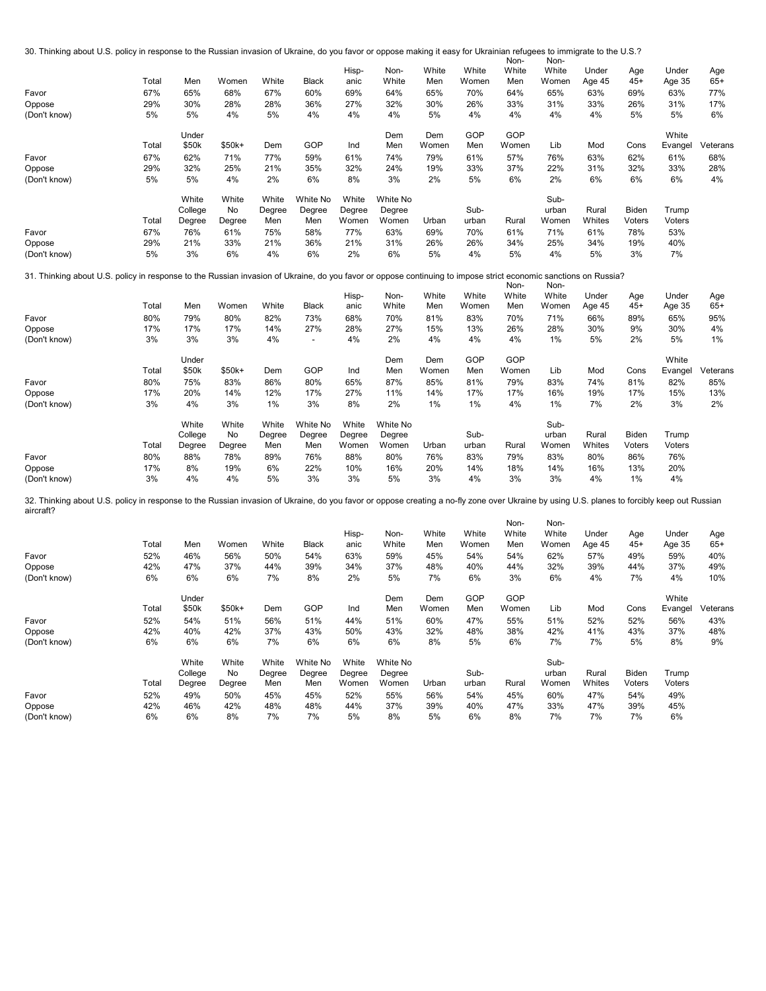30. Thinking about U.S. policy in response to the Russian invasion of Ukraine, do you favor or oppose making it easy for Ukrainian refugees to immigrate to the U.S.?

| (Don't know) | 5%    | 3%                         | 6%                    | 4%                     | 6%                        | 2%                       | 6%                          | 5%           | 4%             | 5%           | 4%                     | 5%              | 3%                     | 7%               |              |
|--------------|-------|----------------------------|-----------------------|------------------------|---------------------------|--------------------------|-----------------------------|--------------|----------------|--------------|------------------------|-----------------|------------------------|------------------|--------------|
| Oppose       | 29%   | 21%                        | 33%                   | 21%                    | 36%                       | 21%                      | 31%                         | 26%          | 26%            | 34%          | 25%                    | 34%             | 19%                    | 40%              |              |
| Favor        | 67%   | 76%                        | 61%                   | 75%                    | 58%                       | 77%                      | 63%                         | 69%          | 70%            | 61%          | 71%                    | 61%             | 78%                    | 53%              |              |
|              | Total | White<br>College<br>Degree | White<br>No<br>Degree | White<br>Degree<br>Men | White No<br>Degree<br>Men | White<br>Degree<br>Women | White No<br>Degree<br>Women | Urban        | Sub-<br>urban  | Rural        | Sub-<br>urban<br>Women | Rural<br>Whites | <b>Biden</b><br>Voters | Trump<br>Voters  |              |
| (Don't know) | 5%    | 5%                         | 4%                    | 2%                     | 6%                        | 8%                       | 3%                          | 2%           | 5%             | 6%           | 2%                     | 6%              | 6%                     | 6%               | 4%           |
| Oppose       | 29%   | 32%                        | 25%                   | 21%                    | 35%                       | 32%                      | 24%                         | 19%          | 33%            | 37%          | 22%                    | 31%             | 32%                    | 33%              | 28%          |
| Favor        | 67%   | 62%                        | 71%                   | 77%                    | 59%                       | 61%                      | 74%                         | 79%          | 61%            | 57%          | 76%                    | 63%             | 62%                    | 61%              | 68%          |
|              | Total | Under<br>\$50k             | \$50k+                | Dem                    | GOP                       | Ind                      | Dem<br>Men                  | Dem<br>Women | GOP<br>Men     | GOP<br>Women | Lib                    | Mod             | Cons                   | White<br>Evangel | Veterans     |
| (Don't know) | 5%    | 5%                         | 4%                    | 5%                     | 4%                        | 4%                       | 4%                          | 5%           | 4%             | 4%           | 4%                     | 4%              | 5%                     | 5%               | 6%           |
| Oppose       | 29%   | 30%                        | 28%                   | 28%                    | 36%                       | 27%                      | 32%                         | 30%          | 26%            | 33%          | 31%                    | 33%             | 26%                    | 31%              | 17%          |
| Favor        | 67%   | 65%                        | 68%                   | 67%                    | 60%                       | 69%                      | 64%                         | 65%          | 70%            | 64%          | 65%                    | 63%             | 69%                    | 63%              | 77%          |
|              | Total | Men                        | Women                 | White                  | <b>Black</b>              | Hisp-<br>anic            | Non-<br>White               | White<br>Men | White<br>Women | White<br>Men | White<br>Women         | Under<br>Age 45 | Age<br>$45+$           | Under<br>Age 35  | Age<br>$65+$ |
|              |       |                            |                       |                        |                           |                          |                             |              |                | Non-         | Non-                   |                 |                        |                  |              |

## 31. Thinking about U.S. policy in response to the Russian invasion of Ukraine, do you favor or oppose continuing to impose strict economic sanctions on Russia? Non-Non-

| Favor<br>Oppose<br>(Don't know) | Total<br>80%<br>17%<br>3% | Men<br>79%<br>17%<br>3%    | Women<br>80%<br>17%<br>3% | White<br>82%<br>14%<br>4% | <b>Black</b><br>73%<br>27%<br>$\overline{\phantom{a}}$ | Hisp-<br>anic<br>68%<br>28%<br>4% | Non-<br>White<br>70%<br>27%<br>2% | White<br>Men<br>81%<br>15%<br>4% | White<br>Women<br>83%<br>13%<br>4% | White<br>Men<br>70%<br>26%<br>4% | White<br>Women<br>71%<br>28%<br>1% | Under<br>Age 45<br>66%<br>30%<br>5% | Age<br>$45+$<br>89%<br>9%<br>2% | Under<br>Age 35<br>65%<br>30%<br>5% | Age<br>$65+$<br>95%<br>4%<br>1% |
|---------------------------------|---------------------------|----------------------------|---------------------------|---------------------------|--------------------------------------------------------|-----------------------------------|-----------------------------------|----------------------------------|------------------------------------|----------------------------------|------------------------------------|-------------------------------------|---------------------------------|-------------------------------------|---------------------------------|
|                                 | Total                     | Under<br>\$50k             | $$50k+$                   | Dem                       | GOP                                                    | Ind                               | Dem<br>Men                        | Dem<br>Women                     | GOP<br>Men                         | GOP<br>Women                     | Lib                                | Mod                                 | Cons                            | White<br>Evangel                    | Veterans                        |
| Favor                           | 80%                       | 75%                        | 83%                       | 86%                       | 80%                                                    | 65%                               | 87%                               | 85%                              | 81%                                | 79%                              | 83%                                | 74%                                 | 81%                             | 82%                                 | 85%                             |
| Oppose                          | 17%                       | 20%                        | 14%                       | 12%                       | 17%                                                    | 27%                               | 11%                               | 14%                              | 17%                                | 17%                              | 16%                                | 19%                                 | 17%                             | 15%                                 | 13%                             |
| (Don't know)                    | 3%                        | 4%                         | 3%                        | 1%                        | 3%                                                     | 8%                                | 2%                                | 1%                               | $1\%$                              | 4%                               | 1%                                 | 7%                                  | 2%                              | 3%                                  | 2%                              |
|                                 | Total                     | White<br>College<br>Degree | White<br>No<br>Degree     | White<br>Degree<br>Men    | White No<br>Degree<br>Men                              | White<br>Degree<br>Women          | White No<br>Degree<br>Women       | Urban                            | Sub-<br>urban                      | Rural                            | Sub-<br>urban<br>Women             | Rural<br>Whites                     | Biden<br>Voters                 | Trump<br>Voters                     |                                 |
| Favor                           | 80%                       | 88%                        | 78%                       | 89%                       | 76%                                                    | 88%                               | 80%                               | 76%                              | 83%                                | 79%                              | 83%                                | 80%                                 | 86%                             | 76%                                 |                                 |
| Oppose                          | 17%                       | 8%                         | 19%                       | 6%                        | 22%                                                    | 10%                               | 16%                               | 20%                              | 14%                                | 18%                              | 14%                                | 16%                                 | 13%                             | 20%                                 |                                 |
| (Don't know)                    | 3%                        | 4%                         | 4%                        | 5%                        | 3%                                                     | 3%                                | 5%                                | 3%                               | 4%                                 | 3%                               | 3%                                 | 4%                                  | 1%                              | 4%                                  |                                 |

Non- $\ddot{\phantom{a}}$ 32. Thinking about U.S. policy in response to the Russian invasion of Ukraine, do you favor or oppose creating a no-fly zone over Ukraine by using U.S. planes to forcibly keep out Russian aircraft?

| GOP<br>GOP<br>White<br>Under<br>Dem<br>Dem<br>GOP<br>\$50k<br>$$50k+$<br>Women<br>Cons<br>Total<br>Dem<br>Ind<br>Men<br>Women<br>Men<br>Lib<br>Mod<br>Evangel<br>Veterans<br>51%<br>54%<br>51%<br>56%<br>51%<br>51%<br>55%<br>52%<br>52%<br>52%<br>44%<br>60%<br>47%<br>56%<br>43%<br>42%<br>37%<br>43%<br>38%<br>42%<br>41%<br>42%<br>40%<br>50%<br>32%<br>48%<br>43%<br>37%<br>48%<br>43%<br>7%<br>6%<br>7%<br>7%<br>5%<br>6%<br>6%<br>6%<br>5%<br>6%<br>6%<br>6%<br>8%<br>8%<br>9%<br>White<br>White No<br>Sub-<br>White<br>White<br>White No<br>White<br>Sub-<br>College<br>No<br>Degree<br>Rural<br>Biden<br>Degree<br>urban<br>Degree<br>Degree<br>Trump<br>Women<br>Whites<br>Degree<br>Women<br>Urban<br>Rural<br>Total<br>Women<br>Voters<br>Degree<br>Men<br>Men<br>Voters<br>urban<br>60%<br>47%<br>52%<br>49%<br>50%<br>45%<br>45%<br>52%<br>55%<br>54%<br>45%<br>54%<br>49%<br>56%<br>42%<br>48%<br>33%<br>47%<br>39%<br>42%<br>46%<br>48%<br>37%<br>40%<br>47%<br>45%<br>44%<br>39%<br>7%<br>5%<br>7%<br>6%<br>6%<br>8%<br>7%<br>5%<br>6%<br>8%<br>7%<br>7%<br>6%<br>8% | Favor<br>Oppose<br>(Don't know) | Total<br>52%<br>42%<br>6% | Men<br>46%<br>47%<br>6% | Women<br>56%<br>37%<br>6% | White<br>50%<br>44%<br>7% | Black<br>54%<br>39%<br>8% | Hisp-<br>anic<br>63%<br>34%<br>2% | Non-<br>White<br>59%<br>37%<br>5% | White<br>Men<br>45%<br>48%<br>7% | White<br>Women<br>54%<br>40%<br>6% | Non-<br>White<br>Men<br>54%<br>44%<br>3% | Non-<br>White<br>Women<br>62%<br>32%<br>6% | Under<br>Age 45<br>57%<br>39%<br>4% | Age<br>$45+$<br>49%<br>44%<br>7% | Under<br>Age 35<br>59%<br>37%<br>4% | Age<br>$65+$<br>40%<br>49%<br>10% |
|---------------------------------------------------------------------------------------------------------------------------------------------------------------------------------------------------------------------------------------------------------------------------------------------------------------------------------------------------------------------------------------------------------------------------------------------------------------------------------------------------------------------------------------------------------------------------------------------------------------------------------------------------------------------------------------------------------------------------------------------------------------------------------------------------------------------------------------------------------------------------------------------------------------------------------------------------------------------------------------------------------------------------------------------------------------------------------------|---------------------------------|---------------------------|-------------------------|---------------------------|---------------------------|---------------------------|-----------------------------------|-----------------------------------|----------------------------------|------------------------------------|------------------------------------------|--------------------------------------------|-------------------------------------|----------------------------------|-------------------------------------|-----------------------------------|
|                                                                                                                                                                                                                                                                                                                                                                                                                                                                                                                                                                                                                                                                                                                                                                                                                                                                                                                                                                                                                                                                                       |                                 |                           |                         |                           |                           |                           |                                   |                                   |                                  |                                    |                                          |                                            |                                     |                                  |                                     |                                   |
|                                                                                                                                                                                                                                                                                                                                                                                                                                                                                                                                                                                                                                                                                                                                                                                                                                                                                                                                                                                                                                                                                       |                                 |                           |                         |                           |                           |                           |                                   |                                   |                                  |                                    |                                          |                                            |                                     |                                  |                                     |                                   |
|                                                                                                                                                                                                                                                                                                                                                                                                                                                                                                                                                                                                                                                                                                                                                                                                                                                                                                                                                                                                                                                                                       | Favor                           |                           |                         |                           |                           |                           |                                   |                                   |                                  |                                    |                                          |                                            |                                     |                                  |                                     |                                   |
|                                                                                                                                                                                                                                                                                                                                                                                                                                                                                                                                                                                                                                                                                                                                                                                                                                                                                                                                                                                                                                                                                       | Oppose                          |                           |                         |                           |                           |                           |                                   |                                   |                                  |                                    |                                          |                                            |                                     |                                  |                                     |                                   |
|                                                                                                                                                                                                                                                                                                                                                                                                                                                                                                                                                                                                                                                                                                                                                                                                                                                                                                                                                                                                                                                                                       | (Don't know)                    |                           |                         |                           |                           |                           |                                   |                                   |                                  |                                    |                                          |                                            |                                     |                                  |                                     |                                   |
|                                                                                                                                                                                                                                                                                                                                                                                                                                                                                                                                                                                                                                                                                                                                                                                                                                                                                                                                                                                                                                                                                       |                                 |                           |                         |                           |                           |                           |                                   |                                   |                                  |                                    |                                          |                                            |                                     |                                  |                                     |                                   |
|                                                                                                                                                                                                                                                                                                                                                                                                                                                                                                                                                                                                                                                                                                                                                                                                                                                                                                                                                                                                                                                                                       |                                 |                           |                         |                           |                           |                           |                                   |                                   |                                  |                                    |                                          |                                            |                                     |                                  |                                     |                                   |
|                                                                                                                                                                                                                                                                                                                                                                                                                                                                                                                                                                                                                                                                                                                                                                                                                                                                                                                                                                                                                                                                                       |                                 |                           |                         |                           |                           |                           |                                   |                                   |                                  |                                    |                                          |                                            |                                     |                                  |                                     |                                   |
|                                                                                                                                                                                                                                                                                                                                                                                                                                                                                                                                                                                                                                                                                                                                                                                                                                                                                                                                                                                                                                                                                       | Favor                           |                           |                         |                           |                           |                           |                                   |                                   |                                  |                                    |                                          |                                            |                                     |                                  |                                     |                                   |
|                                                                                                                                                                                                                                                                                                                                                                                                                                                                                                                                                                                                                                                                                                                                                                                                                                                                                                                                                                                                                                                                                       | Oppose                          |                           |                         |                           |                           |                           |                                   |                                   |                                  |                                    |                                          |                                            |                                     |                                  |                                     |                                   |
|                                                                                                                                                                                                                                                                                                                                                                                                                                                                                                                                                                                                                                                                                                                                                                                                                                                                                                                                                                                                                                                                                       | (Don't know)                    |                           |                         |                           |                           |                           |                                   |                                   |                                  |                                    |                                          |                                            |                                     |                                  |                                     |                                   |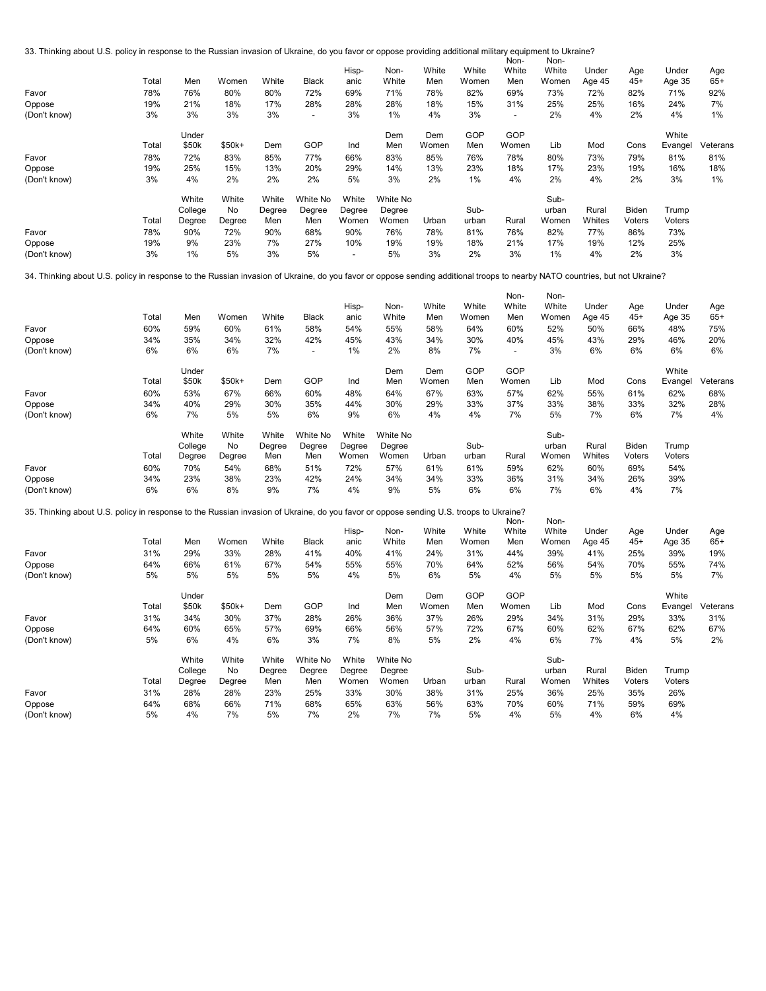33. Thinking about U.S. policy in response to the Russian invasion of Ukraine, do you favor or oppose providing additional military equipment to Ukraine? Non-Non-

| Favor<br>Oppose<br>(Don't know) | Total<br>78%<br>19%<br>3% | Men<br>76%<br>21%<br>3% | Women<br>80%<br>18%<br>3% | White<br>80%<br>17%<br>3% | <b>Black</b><br>72%<br>28%<br>$\overline{\phantom{a}}$ | Hisp-<br>anic<br>69%<br>28%<br>3% | Non-<br>White<br>71%<br>28%<br>1% | White<br>Men<br>78%<br>18%<br>4% | White<br>Women<br>82%<br>15%<br>3% | <b>NON-</b><br>White<br>Men<br>69%<br>31%<br>$\overline{\phantom{a}}$ | <b>NON-</b><br>White<br>Women<br>73%<br>25%<br>2% | Under<br>Age 45<br>72%<br>25%<br>4% | Age<br>$45+$<br>82%<br>16%<br>2% | Under<br>Age 35<br>71%<br>24%<br>4% | Age<br>$65+$<br>92%<br>7%<br>1% |
|---------------------------------|---------------------------|-------------------------|---------------------------|---------------------------|--------------------------------------------------------|-----------------------------------|-----------------------------------|----------------------------------|------------------------------------|-----------------------------------------------------------------------|---------------------------------------------------|-------------------------------------|----------------------------------|-------------------------------------|---------------------------------|
|                                 |                           | Under                   |                           |                           |                                                        |                                   | Dem                               | Dem                              | GOP                                | GOP                                                                   |                                                   |                                     |                                  | White                               |                                 |
|                                 | Total                     | \$50k                   | \$50k+                    | Dem                       | GOP                                                    | Ind                               | Men                               | Women                            | Men                                | Women                                                                 | Lib                                               | Mod                                 | Cons                             | Evangel                             | Veterans                        |
| Favor                           | 78%                       | 72%                     | 83%                       | 85%                       | 77%                                                    | 66%                               | 83%                               | 85%                              | 76%                                | 78%                                                                   | 80%                                               | 73%                                 | 79%                              | 81%                                 | 81%                             |
| Oppose                          | 19%                       | 25%                     | 15%                       | 13%                       | 20%                                                    | 29%                               | 14%                               | 13%                              | 23%                                | 18%                                                                   | 17%                                               | 23%                                 | 19%                              | 16%                                 | 18%                             |
| (Don't know)                    | 3%                        | 4%                      | 2%                        | 2%                        | 2%                                                     | 5%                                | 3%                                | 2%                               | $1\%$                              | 4%                                                                    | 2%                                                | 4%                                  | 2%                               | 3%                                  | 1%                              |
|                                 |                           | White                   | White                     | White                     | White No                                               | White                             | White No                          |                                  |                                    |                                                                       | Sub-                                              |                                     |                                  |                                     |                                 |
|                                 |                           | College                 | No                        | Degree                    | Degree                                                 | Degree                            | Degree                            |                                  | Sub-                               |                                                                       | urban                                             | Rural                               | Biden                            | Trump                               |                                 |
|                                 | Total                     | Degree                  | Degree                    | Men                       | Men                                                    | Women                             | Women                             | Urban                            | urban                              | Rural                                                                 | Women                                             | Whites                              | Voters                           | Voters                              |                                 |
| Favor                           | 78%                       | 90%                     | 72%                       | 90%                       | 68%                                                    | 90%                               | 76%                               | 78%                              | 81%                                | 76%                                                                   | 82%                                               | 77%                                 | 86%                              | 73%                                 |                                 |
| Oppose                          | 19%                       | 9%                      | 23%                       | 7%                        | 27%                                                    | 10%                               | 19%                               | 19%                              | 18%                                | 21%                                                                   | 17%                                               | 19%                                 | 12%                              | 25%                                 |                                 |
| (Don't know)                    | 3%                        | 1%                      | 5%                        | 3%                        | 5%                                                     | $\overline{\phantom{a}}$          | 5%                                | 3%                               | 2%                                 | 3%                                                                    | 1%                                                | 4%                                  | 2%                               | 3%                                  |                                 |
|                                 |                           |                         |                           |                           |                                                        |                                   |                                   |                                  |                                    |                                                                       |                                                   |                                     |                                  |                                     |                                 |

34. Thinking about U.S. policy in response to the Russian invasion of Ukraine, do you favor or oppose sending additional troops to nearby NATO countries, but not Ukraine?

| Favor        | Total<br>60% | Men<br>59% | Women<br>60% | White<br>61% | Black<br>58%             | Hisp-<br>anic<br>54% | Non-<br>White<br>55% | White<br>Men<br>58% | White<br>Women<br>64% | Non-<br>White<br>Men<br>60% | Non-<br>White<br>Women<br>52% | Under<br>Age 45<br>50% | Age<br>$45+$<br>66% | Under<br>Age 35<br>48% | Age<br>$65+$<br>75% |
|--------------|--------------|------------|--------------|--------------|--------------------------|----------------------|----------------------|---------------------|-----------------------|-----------------------------|-------------------------------|------------------------|---------------------|------------------------|---------------------|
| Oppose       | 34%          | 35%        | 34%          | 32%          | 42%                      | 45%                  | 43%                  | 34%                 | 30%                   | 40%                         | 45%                           | 43%                    | 29%                 | 46%                    | 20%                 |
| (Don't know) | 6%           | 6%         | 6%           | 7%           | $\overline{\phantom{a}}$ | 1%                   | 2%                   | 8%                  | 7%                    |                             | 3%                            | 6%                     | 6%                  | 6%                     | 6%                  |
|              |              | Under      |              |              |                          |                      | Dem                  | Dem                 | GOP                   | GOP                         |                               |                        |                     | White                  |                     |
|              | Total        | \$50k      | $$50k+$      | Dem          | GOP                      | Ind                  | Men                  | Women               | Men                   | Women                       | Lib                           | Mod                    | Cons                | Evangel                | Veterans            |
| Favor        | 60%          | 53%        | 67%          | 66%          | 60%                      | 48%                  | 64%                  | 67%                 | 63%                   | 57%                         | 62%                           | 55%                    | 61%                 | 62%                    | 68%                 |
| Oppose       | 34%          | 40%        | 29%          | 30%          | 35%                      | 44%                  | 30%                  | 29%                 | 33%                   | 37%                         | 33%                           | 38%                    | 33%                 | 32%                    | 28%                 |
| (Don't know) | 6%           | 7%         | 5%           | 5%           | 6%                       | 9%                   | 6%                   | 4%                  | 4%                    | 7%                          | 5%                            | 7%                     | 6%                  | 7%                     | 4%                  |
|              |              | White      | White        | White        | White No                 | White                | White No             |                     |                       |                             | Sub-                          |                        |                     |                        |                     |
|              |              | College    | No           | Degree       | Degree                   | Degree               | Degree               |                     | Sub-                  |                             | urban                         | Rural                  | Biden               | Trump                  |                     |
|              | Total        | Degree     | Degree       | Men          | Men                      | Women                | Women                | Urban               | urban                 | Rural                       | Women                         | Whites                 | Voters              | Voters                 |                     |
| Favor        | 60%          | 70%        | 54%          | 68%          | 51%                      | 72%                  | 57%                  | 61%                 | 61%                   | 59%                         | 62%                           | 60%                    | 69%                 | 54%                    |                     |
| Oppose       | 34%          | 23%        | 38%          | 23%          | 42%                      | 24%                  | 34%                  | 34%                 | 33%                   | 36%                         | 31%                           | 34%                    | 26%                 | 39%                    |                     |
| (Don't know) | 6%           | 6%         | 8%           | 9%           | 7%                       | 4%                   | 9%                   | 5%                  | 6%                    | 6%                          | 7%                            | 6%                     | 4%                  | 7%                     |                     |

35. Thinking about U.S. policy in response to the Russian invasion of Ukraine, do you favor or oppose sending U.S. troops to Ukraine? Non-

| JJ. Thinking about 0.0. policy in response to the riussian invasion or Okrame, do you lavor or oppose sending 0.0. troops to Okrame : |       |         |         |        |              |        |          |       |       | Non-  | Non-  |        |        |         |          |
|---------------------------------------------------------------------------------------------------------------------------------------|-------|---------|---------|--------|--------------|--------|----------|-------|-------|-------|-------|--------|--------|---------|----------|
|                                                                                                                                       |       |         |         |        |              | Hisp-  | Non-     | White | White | White | White | Under  | Age    | Under   | Age      |
|                                                                                                                                       | Total | Men     | Women   | White  | <b>Black</b> | anic   | White    | Men   | Women | Men   | Women | Age 45 | $45+$  | Age 35  | $65+$    |
| Favor                                                                                                                                 | 31%   | 29%     | 33%     | 28%    | 41%          | 40%    | 41%      | 24%   | 31%   | 44%   | 39%   | 41%    | 25%    | 39%     | 19%      |
| Oppose                                                                                                                                | 64%   | 66%     | 61%     | 67%    | 54%          | 55%    | 55%      | 70%   | 64%   | 52%   | 56%   | 54%    | 70%    | 55%     | 74%      |
| (Don't know)                                                                                                                          | 5%    | 5%      | 5%      | 5%     | 5%           | 4%     | 5%       | 6%    | 5%    | 4%    | 5%    | 5%     | 5%     | 5%      | 7%       |
|                                                                                                                                       |       | Under   |         |        |              |        | Dem      | Dem   | GOP   | GOP   |       |        |        | White   |          |
|                                                                                                                                       | Total | \$50k   | $$50k+$ | Dem    | GOP          | Ind    | Men      | Women | Men   | Women | Lib   | Mod    | Cons   | Evangel | Veterans |
| Favor                                                                                                                                 | 31%   | 34%     | 30%     | 37%    | 28%          | 26%    | 36%      | 37%   | 26%   | 29%   | 34%   | 31%    | 29%    | 33%     | 31%      |
| Oppose                                                                                                                                | 64%   | 60%     | 65%     | 57%    | 69%          | 66%    | 56%      | 57%   | 72%   | 67%   | 60%   | 62%    | 67%    | 62%     | 67%      |
| (Don't know)                                                                                                                          | 5%    | 6%      | 4%      | 6%     | 3%           | 7%     | 8%       | 5%    | 2%    | 4%    | 6%    | 7%     | 4%     | 5%      | 2%       |
|                                                                                                                                       |       | White   | White   | White  | White No     | White  | White No |       |       |       | Sub-  |        |        |         |          |
|                                                                                                                                       |       | College | No      | Degree | Degree       | Degree | Degree   |       | Sub-  |       | urban | Rural  | Biden  | Trump   |          |
|                                                                                                                                       | Total | Degree  | Degree  | Men    | Men          | Women  | Women    | Urban | urban | Rural | Women | Whites | Voters | Voters  |          |
| Favor                                                                                                                                 | 31%   | 28%     | 28%     | 23%    | 25%          | 33%    | 30%      | 38%   | 31%   | 25%   | 36%   | 25%    | 35%    | 26%     |          |
| Oppose                                                                                                                                | 64%   | 68%     | 66%     | 71%    | 68%          | 65%    | 63%      | 56%   | 63%   | 70%   | 60%   | 71%    | 59%    | 69%     |          |
| (Don't know)                                                                                                                          | 5%    | 4%      | 7%      | 5%     | 7%           | 2%     | 7%       | 7%    | 5%    | 4%    | 5%    | 4%     | 6%     | 4%      |          |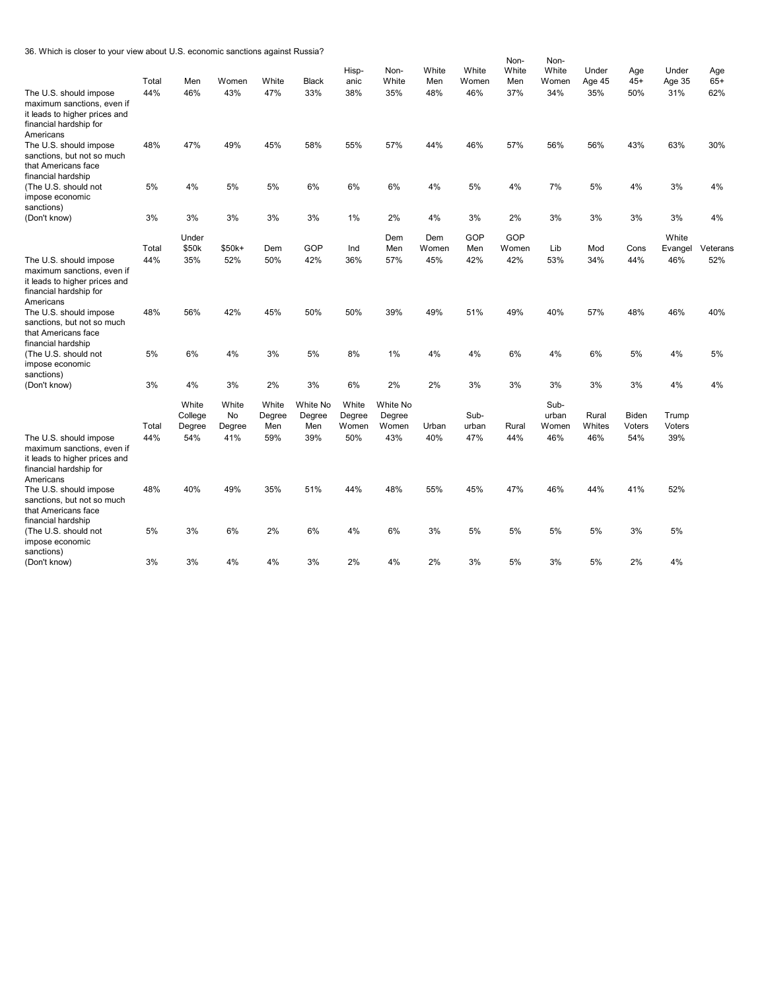36. Which is closer to your view about U.S. economic sanctions against Russia?

|                                                                                                                              | Total | Men                        | Women                 | White                  | <b>Black</b>              | Hisp-<br>anic            | Non-<br>White               | White<br>Men | White<br>Women | Non-<br>White<br>Men | Non-<br>White<br>Women | Under<br>Age 45 | Age<br>$45+$           | Under<br>Age 35 | Age<br>$65+$ |
|------------------------------------------------------------------------------------------------------------------------------|-------|----------------------------|-----------------------|------------------------|---------------------------|--------------------------|-----------------------------|--------------|----------------|----------------------|------------------------|-----------------|------------------------|-----------------|--------------|
| The U.S. should impose<br>maximum sanctions, even if<br>it leads to higher prices and<br>financial hardship for<br>Americans | 44%   | 46%                        | 43%                   | 47%                    | 33%                       | 38%                      | 35%                         | 48%          | 46%            | 37%                  | 34%                    | 35%             | 50%                    | 31%             | 62%          |
| The U.S. should impose<br>sanctions, but not so much<br>that Americans face<br>financial hardship                            | 48%   | 47%                        | 49%                   | 45%                    | 58%                       | 55%                      | 57%                         | 44%          | 46%            | 57%                  | 56%                    | 56%             | 43%                    | 63%             | 30%          |
| (The U.S. should not<br>impose economic<br>sanctions)                                                                        | 5%    | 4%                         | 5%                    | 5%                     | 6%                        | 6%                       | 6%                          | 4%           | 5%             | 4%                   | 7%                     | 5%              | 4%                     | 3%              | 4%           |
| (Don't know)                                                                                                                 | 3%    | 3%                         | 3%                    | 3%                     | 3%                        | 1%                       | 2%                          | 4%           | 3%             | 2%                   | 3%                     | 3%              | 3%                     | 3%              | 4%           |
|                                                                                                                              |       | Under                      |                       |                        |                           |                          | Dem                         | Dem          | GOP            | GOP                  |                        |                 |                        | White           |              |
|                                                                                                                              | Total | \$50k                      | \$50k+                | Dem                    | GOP                       | Ind                      | Men                         | Women        | Men            | Women                | Lib                    | Mod             | Cons                   | Evangel         | Veterans     |
| The U.S. should impose<br>maximum sanctions, even if<br>it leads to higher prices and<br>financial hardship for<br>Americans | 44%   | 35%                        | 52%                   | 50%                    | 42%                       | 36%                      | 57%                         | 45%          | 42%            | 42%                  | 53%                    | 34%             | 44%                    | 46%             | 52%          |
| The U.S. should impose<br>sanctions, but not so much<br>that Americans face<br>financial hardship                            | 48%   | 56%                        | 42%                   | 45%                    | 50%                       | 50%                      | 39%                         | 49%          | 51%            | 49%                  | 40%                    | 57%             | 48%                    | 46%             | 40%          |
| (The U.S. should not<br>impose economic<br>sanctions)                                                                        | 5%    | 6%                         | 4%                    | 3%                     | 5%                        | 8%                       | 1%                          | 4%           | 4%             | 6%                   | 4%                     | 6%              | 5%                     | 4%              | 5%           |
| (Don't know)                                                                                                                 | 3%    | 4%                         | 3%                    | 2%                     | 3%                        | 6%                       | 2%                          | 2%           | 3%             | 3%                   | 3%                     | 3%              | 3%                     | 4%              | 4%           |
|                                                                                                                              | Total | White<br>College<br>Degree | White<br>No<br>Degree | White<br>Degree<br>Men | White No<br>Degree<br>Men | White<br>Degree<br>Women | White No<br>Degree<br>Women | Urban        | Sub-<br>urban  | Rural                | Sub-<br>urban<br>Women | Rural<br>Whites | <b>Biden</b><br>Voters | Trump<br>Voters |              |
| The U.S. should impose<br>maximum sanctions, even if<br>it leads to higher prices and<br>financial hardship for<br>Americans | 44%   | 54%                        | 41%                   | 59%                    | 39%                       | 50%                      | 43%                         | 40%          | 47%            | 44%                  | 46%                    | 46%             | 54%                    | 39%             |              |
| The U.S. should impose<br>sanctions, but not so much<br>that Americans face<br>financial hardship                            | 48%   | 40%                        | 49%                   | 35%                    | 51%                       | 44%                      | 48%                         | 55%          | 45%            | 47%                  | 46%                    | 44%             | 41%                    | 52%             |              |
| (The U.S. should not<br>impose economic<br>sanctions)                                                                        | 5%    | 3%                         | 6%                    | 2%                     | 6%                        | 4%                       | 6%                          | 3%           | 5%             | 5%                   | 5%                     | 5%              | 3%                     | 5%              |              |
| (Don't know)                                                                                                                 | 3%    | 3%                         | 4%                    | 4%                     | 3%                        | 2%                       | 4%                          | 2%           | 3%             | 5%                   | 3%                     | 5%              | 2%                     | 4%              |              |